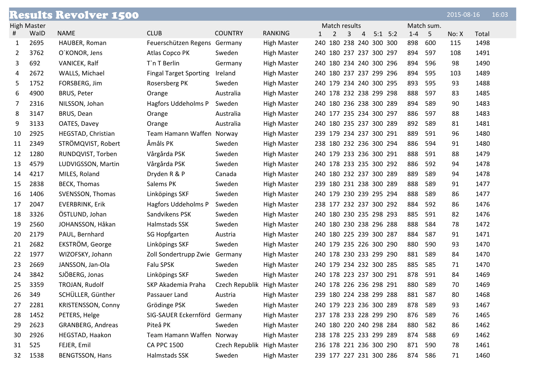|    |                    | <b>Results Revolver 1500</b> |                               |                            |                    |                                |   |   |             |         |            | 2015-08-16 |       | 16:03 |
|----|--------------------|------------------------------|-------------------------------|----------------------------|--------------------|--------------------------------|---|---|-------------|---------|------------|------------|-------|-------|
|    | <b>High Master</b> |                              |                               |                            |                    | Match results                  |   |   |             |         | Match sum. |            |       |       |
| #  | WalD               | <b>NAME</b>                  | <b>CLUB</b>                   | <b>COUNTRY</b>             | <b>RANKING</b>     | $\overline{2}$<br>$\mathbf{1}$ | 3 | 4 | $5:1$ $5:2$ | $1 - 4$ | $-5$       | No: X      | Total |       |
| 1  | 2695               | HAUBER, Roman                | Feuerschützen Regens Germany  |                            | <b>High Master</b> | 240 180 238 240 300 300        |   |   |             | 898     | 600        | 115        | 1498  |       |
| 2  | 3762               | O'KONOR, Jens                | Atlas Copco PK                | Sweden                     | <b>High Master</b> | 240 180 237 237 300 297        |   |   |             | 894     | 597        | 108        | 1491  |       |
| 3  | 692                | VANICEK, Ralf                | T`n T Berlin                  | Germany                    | <b>High Master</b> | 240 180 234 240 300 296        |   |   |             | 894     | 596        | 98         | 1490  |       |
| 4  | 2672               | WALLS, Michael               | <b>Fingal Target Sporting</b> | Ireland                    | <b>High Master</b> | 240 180 237 237 299 296        |   |   |             | 894     | 595        | 103        | 1489  |       |
| 5  | 1752               | FORSBERG, Jim                | Rosersberg PK                 | Sweden                     | <b>High Master</b> | 240 179 234 240 300 295        |   |   |             | 893     | 595        | 93         | 1488  |       |
| 6  | 4900               | <b>BRUS, Peter</b>           | Orange                        | Australia                  | <b>High Master</b> | 240 178 232 238 299 298        |   |   |             | 888     | 597        | 83         | 1485  |       |
| 7  | 2316               | NILSSON, Johan               | Hagfors Uddeholms P           | Sweden                     | High Master        | 240 180 236 238 300 289        |   |   |             | 894     | 589        | 90         | 1483  |       |
| 8  | 3147               | BRUS, Dean                   | Orange                        | Australia                  | <b>High Master</b> | 240 177 235 234 300 297        |   |   |             | 886     | 597        | 88         | 1483  |       |
| 9  | 3133               | OATES, Davey                 | Orange                        | Australia                  | <b>High Master</b> | 240 180 235 237 300 289        |   |   |             | 892     | 589        | 81         | 1481  |       |
| 10 | 2925               | HEGSTAD, Christian           | Team Hamann Waffen Norway     |                            | High Master        | 239 179 234 237 300 291        |   |   |             | 889     | 591        | 96         | 1480  |       |
| 11 | 2349               | STRÖMQVIST, Robert           | Åmåls PK                      | Sweden                     | <b>High Master</b> | 238 180 232 236 300 294        |   |   |             | 886     | 594        | 91         | 1480  |       |
| 12 | 1280               | RUNDQVIST, Torben            | Vårgårda PSK                  | Sweden                     | High Master        | 240 179 233 236 300 291        |   |   |             | 888     | 591        | 88         | 1479  |       |
| 13 | 4579               | LUDVIGSSON, Martin           | Vårgårda PSK                  | Sweden                     | <b>High Master</b> | 240 178 233 235 300 292        |   |   |             | 886     | 592        | 94         | 1478  |       |
| 14 | 4217               | MILES, Roland                | Dryden R & P                  | Canada                     | <b>High Master</b> | 240 180 232 237 300 289        |   |   |             | 889     | 589        | 94         | 1478  |       |
| 15 | 2838               | <b>BECK, Thomas</b>          | Salems PK                     | Sweden                     | High Master        | 239 180 231 238 300 289        |   |   |             | 888     | 589        | 91         | 1477  |       |
| 16 | 1406               | SVENSSON, Thomas             | Linköpings SKF                | Sweden                     | <b>High Master</b> | 240 179 230 239 295 294        |   |   |             | 888     | 589        | 86         | 1477  |       |
| 17 | 2047               | <b>EVERBRINK, Erik</b>       | Hagfors Uddeholms P           | Sweden                     | <b>High Master</b> | 238 177 232 237 300 292        |   |   |             | 884     | 592        | 86         | 1476  |       |
| 18 | 3326               | ÖSTLUND, Johan               | Sandvikens PSK                | Sweden                     | High Master        | 240 180 230 235 298 293        |   |   |             | 885     | 591        | 82         | 1476  |       |
| 19 | 2560               | JOHANSSON, Håkan             | Halmstads SSK                 | Sweden                     | <b>High Master</b> | 240 180 230 238 296 288        |   |   |             | 888     | 584        | 78         | 1472  |       |
| 20 | 2179               | PAUL, Bernhard               | SG Hopfgarten                 | Austria                    | <b>High Master</b> | 240 180 225 239 300 287        |   |   |             | 884     | 587        | 91         | 1471  |       |
| 21 | 2682               | EKSTRÖM, George              | Linköpings SKF                | Sweden                     | <b>High Master</b> | 240 179 235 226 300 290        |   |   |             | 880     | 590        | 93         | 1470  |       |
| 22 | 1977               | WIZOFSKY, Johann             | Zoll Sondertrupp Zwie         | Germany                    | High Master        | 240 178 230 233 299 290        |   |   |             | 881     | 589        | 84         | 1470  |       |
| 23 | 2669               | JANSSON, Jan-Ola             | Falu SPSK                     | Sweden                     | <b>High Master</b> | 240 179 234 232 300 285        |   |   |             | 885     | 585        | 71         | 1470  |       |
| 24 | 3842               | SJÖBERG, Jonas               | Linköpings SKF                | Sweden                     | <b>High Master</b> | 240 178 223 237 300 291        |   |   |             | 878     | 591        | 84         | 1469  |       |
| 25 | 3359               | TROJAN, Rudolf               | SKP Akademia Praha            | Czech Republik High Master |                    | 240 178 226 236 298 291        |   |   |             | 880     | 589        | 70         | 1469  |       |
| 26 | 349                | SCHÜLLER, Günther            | Passauer Land                 | Austria                    | <b>High Master</b> | 239 180 224 238 299 288        |   |   |             | 881     | 587        | 80         | 1468  |       |
| 27 | 2281               | <b>KRISTENSSON, Conny</b>    | Grödinge PSK                  | Sweden                     | <b>High Master</b> | 240 179 223 236 300 289        |   |   |             | 878     | 589        | 93         | 1467  |       |
| 28 | 1452               | PETERS, Helge                | SIG-SAUER Eckernförd          | Germany                    | <b>High Master</b> | 237 178 233 228 299 290        |   |   |             | 876     | 589        | 76         | 1465  |       |
| 29 | 2623               | GRANBERG, Andreas            | Piteå PK                      | Sweden                     | <b>High Master</b> | 240 180 220 240 298 284        |   |   |             | 880     | 582        | 86         | 1462  |       |
| 30 | 2926               | HEGSTAD, Haakon              | Team Hamann Waffen Norway     |                            | <b>High Master</b> | 238 178 225 233 299 289        |   |   |             | 874     | 588        | 69         | 1462  |       |
| 31 | 525                | FEJER, Emil                  | <b>CA PPC 1500</b>            | Czech Republik High Master |                    | 236 178 221 236 300 290        |   |   |             | 871     | 590        | 78         | 1461  |       |
| 32 | 1538               | <b>BENGTSSON, Hans</b>       | Halmstads SSK                 | Sweden                     | <b>High Master</b> | 239 177 227 231 300 286        |   |   |             | 874 586 |            | 71         | 1460  |       |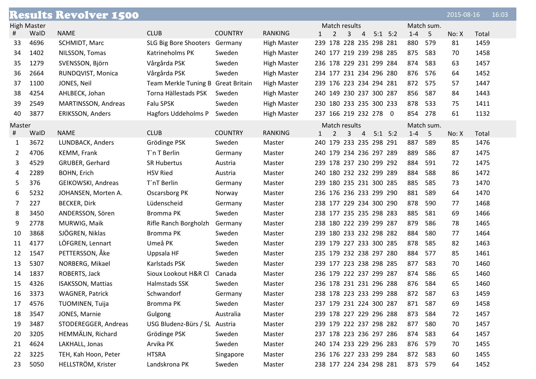|        |                    | <b>Results Revolver 1500</b> |                                    |                |                    |                         |   |                |             |         |            | 2015-08-16 |       | 16:03 |
|--------|--------------------|------------------------------|------------------------------------|----------------|--------------------|-------------------------|---|----------------|-------------|---------|------------|------------|-------|-------|
|        | <b>High Master</b> |                              |                                    |                |                    | Match results           |   |                |             |         | Match sum. |            |       |       |
| #      | WalD               | <b>NAME</b>                  | <b>CLUB</b>                        | <b>COUNTRY</b> | <b>RANKING</b>     | $\mathbf{1}$<br>2       | 3 | $\overline{4}$ | $5:1$ $5:2$ | $1 - 4$ | $-5$       | No: X      | Total |       |
| 33     | 4696               | SCHMIDT, Marc                | SLG Big Bore Shooters              | Germany        | <b>High Master</b> | 239 178 228 235 298 281 |   |                |             | 880     | 579        | 81         | 1459  |       |
| 34     | 1402               | NILSSON, Tomas               | Katrineholms PK                    | Sweden         | <b>High Master</b> | 240 177 219 239 298 285 |   |                |             | 875     | 583        | 70         | 1458  |       |
| 35     | 1279               | SVENSSON, Björn              | Vårgårda PSK                       | Sweden         | <b>High Master</b> | 236 178 229 231 299 284 |   |                |             | 874     | 583        | 63         | 1457  |       |
| 36     | 2664               | RUNDQVIST, Monica            | Vårgårda PSK                       | Sweden         | <b>High Master</b> | 234 177 231 234 296 280 |   |                |             | 876     | 576        | 64         | 1452  |       |
| 37     | 1100               | JONES, Neil                  | Team Merkle Tuning B Great Britain |                | <b>High Master</b> | 239 176 223 234 294 281 |   |                |             | 872     | 575        | 57         | 1447  |       |
| 38     | 4254               | AHLBECK, Johan               | Torna Hällestads PSK               | Sweden         | <b>High Master</b> | 240 149 230 237 300 287 |   |                |             | 856     | 587        | 84         | 1443  |       |
| 39     | 2549               | MARTINSSON, Andreas          | Falu SPSK                          | Sweden         | <b>High Master</b> | 230 180 233 235 300 233 |   |                |             | 878     | 533        | 75         | 1411  |       |
| 40     | 3877               | <b>ERIKSSON, Anders</b>      | Hagfors Uddeholms P                | Sweden         | <b>High Master</b> | 237 166 219 232 278 0   |   |                |             | 854     | 278        | 61         | 1132  |       |
| Master |                    |                              |                                    |                |                    | Match results           |   |                |             |         | Match sum. |            |       |       |
| #      | WalD               | <b>NAME</b>                  | <b>CLUB</b>                        | <b>COUNTRY</b> | <b>RANKING</b>     | 2<br>1                  | 3 | $\overline{4}$ | $5:1$ $5:2$ | $1 - 4$ | $-5$       | No: X      | Total |       |
| 1      | 3672               | LUNDBACK, Anders             | Grödinge PSK                       | Sweden         | Master             | 240 179 233 235 298 291 |   |                |             | 887     | 589        | 85         | 1476  |       |
| 2      | 4706               | KEMM, Frank                  | T`n T Berlin                       | Germany        | Master             | 240 179 234 236 297 289 |   |                |             | 889     | 586        | 87         | 1475  |       |
| 3      | 4529               | GRUBER, Gerhard              | <b>SR Hubertus</b>                 | Austria        | Master             | 239 178 237 230 299 292 |   |                |             | 884     | 591        | 72         | 1475  |       |
| 4      | 2289               | BOHN, Erich                  | <b>HSV Ried</b>                    | Austria        | Master             | 240 180 232 232 299 289 |   |                |             | 884     | 588        | 86         | 1472  |       |
| 5      | 376                | GEIKOWSKI, Andreas           | T'nT Berlin                        | Germany        | Master             | 239 180 235 231 300 285 |   |                |             | 885     | 585        | 73         | 1470  |       |
| 6      | 5232               | JOHANSEN, Morten A.          | Oscarsborg PK                      | Norway         | Master             | 236 176 236 233 299 290 |   |                |             | 881     | 589        | 64         | 1470  |       |
| 7      | 227                | <b>BECKER, Dirk</b>          | Lüdenscheid                        | Germany        | Master             | 238 177 229 234 300 290 |   |                |             | 878     | 590        | 77         | 1468  |       |
| 8      | 3450               | ANDERSSON, Sören             | Bromma PK                          | Sweden         | Master             | 238 177 235 235 298 283 |   |                |             | 885     | 581        | 69         | 1466  |       |
| 9      | 2778               | MURWIG, Maik                 | Rifle Ranch Borgholzh              | Germany        | Master             | 238 180 222 239 299 287 |   |                |             | 879     | 586        | 78         | 1465  |       |
| 10     | 3868               | SJÖGREN, Niklas              | Bromma PK                          | Sweden         | Master             | 239 180 233 232 298 282 |   |                |             | 884     | 580        | 77         | 1464  |       |
| 11     | 4177               | LÖFGREN, Lennart             | Umeå PK                            | Sweden         | Master             | 239 179 227 233 300 285 |   |                |             | 878     | 585        | 82         | 1463  |       |
| 12     | 1547               | PETTERSSON, Åke              | Uppsala HF                         | Sweden         | Master             | 235 179 232 238 297 280 |   |                |             | 884     | 577        | 85         | 1461  |       |
| 13     | 5307               | NORBERG, Mikael              | Karlstads PSK                      | Sweden         | Master             | 239 177 223 238 298 285 |   |                |             | 877     | 583        | 70         | 1460  |       |
| 14     | 1837               | ROBERTS, Jack                | Sioux Lookout H&R Cl               | Canada         | Master             | 236 179 222 237 299 287 |   |                |             | 874     | 586        | 65         | 1460  |       |
| 15     | 4326               | <b>ISAKSSON, Mattias</b>     | Halmstads SSK                      | Sweden         | Master             | 236 178 231 231 296 288 |   |                |             | 876     | 584        | 65         | 1460  |       |
| 16     | 3373               | <b>WAGNER, Patrick</b>       | Schwandorf                         | Germany        | Master             | 238 178 223 233 299 288 |   |                |             | 872 587 |            | 63         | 1459  |       |
| 17     | 4576               | TUOMINEN, Tuija              | Bromma PK                          | Sweden         | Master             | 237 179 231 224 300 287 |   |                |             | 871     | 587        | 69         | 1458  |       |
| 18     | 3547               | JONES, Marnie                | Gulgong                            | Australia      | Master             | 239 178 227 229 296 288 |   |                |             | 873     | 584        | 72         | 1457  |       |
| 19     | 3487               | STODEREGGER, Andreas         | USG Bludenz-Bürs / SL Austria      |                | Master             | 239 179 222 237 298 282 |   |                |             | 877     | 580        | 70         | 1457  |       |
| 20     | 3205               | HEMMÄLIN, Richard            | Grödinge PSK                       | Sweden         | Master             | 237 178 223 236 297 286 |   |                |             | 874     | 583        | 64         | 1457  |       |
| 21     | 4624               | LAKHALL, Jonas               | Arvika PK                          | Sweden         | Master             | 240 174 233 229 296 283 |   |                |             | 876     | 579        | 70         | 1455  |       |
| 22     | 3225               | TEH, Kah Hoon, Peter         | <b>HTSRA</b>                       | Singapore      | Master             | 236 176 227 233 299 284 |   |                |             | 872     | 583        | 60         | 1455  |       |
| 23     | 5050               | HELLSTRÖM, Krister           | Landskrona PK                      | Sweden         | Master             | 238 177 224 234 298 281 |   |                |             | 873 579 |            | 64         | 1452  |       |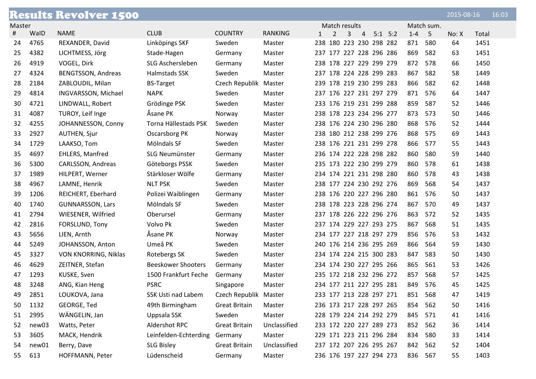|        |       | <b>Results Revolver 1500</b> |                           |                       |                |   |                         |                |             |         |            | 2015-08-16 |       | 16:03 |
|--------|-------|------------------------------|---------------------------|-----------------------|----------------|---|-------------------------|----------------|-------------|---------|------------|------------|-------|-------|
| Master |       |                              |                           |                       |                |   | Match results           |                |             |         | Match sum. |            |       |       |
| #      | WalD  | <b>NAME</b>                  | <b>CLUB</b>               | <b>COUNTRY</b>        | <b>RANKING</b> | 1 | 2<br>3                  | $\overline{4}$ | $5:1$ $5:2$ | $1 - 4$ | $-5$       | No: X      | Total |       |
| 24     | 4765  | REXANDER, David              | Linköpings SKF            | Sweden                | Master         |   | 238 180 223 230 298 282 |                |             | 871     | 580        | 64         | 1451  |       |
| 25     | 4382  | LICHTMESS, Jörg              | Stade-Hagen               | Germany               | Master         |   | 237 177 227 228 296 286 |                |             | 869     | 582        | 63         | 1451  |       |
| 26     | 4919  | VOGEL, Dirk                  | SLG Aschersleben          | Germany               | Master         |   | 238 178 227 229 299 279 |                |             | 872     | 578        | 66         | 1450  |       |
| 27     | 4324  | BENGTSSON, Andreas           | Halmstads SSK             | Sweden                | Master         |   | 237 178 224 228 299 283 |                |             | 867     | 582        | 58         | 1449  |       |
| 28     | 2184  | ZABLOUDIL, Milan             | <b>BS-Target</b>          | Czech Republik Master |                |   | 239 178 219 230 299 283 |                |             | 866     | 582        | 62         | 1448  |       |
| 29     | 4814  | INGVARSSON, Michael          | <b>NAPK</b>               | Sweden                | Master         |   | 237 176 227 231 297 279 |                |             | 871     | 576        | 64         | 1447  |       |
| 30     | 4721  | LINDWALL, Robert             | Grödinge PSK              | Sweden                | Master         |   | 233 176 219 231 299 288 |                |             | 859     | 587        | 52         | 1446  |       |
| 31     | 4087  | TUROY, Leif Inge             | Åsane PK                  | Norway                | Master         |   | 238 178 223 234 296 277 |                |             | 873     | 573        | 50         | 1446  |       |
| 32     | 4255  | JOHANNESSON, Conny           | Torna Hällestads PSK      | Sweden                | Master         |   | 238 176 224 230 296 280 |                |             | 868     | 576        | 52         | 1444  |       |
| 33     | 2927  | <b>AUTHEN, Sjur</b>          | Oscarsborg PK             | Norway                | Master         |   | 238 180 212 238 299 276 |                |             | 868     | 575        | 69         | 1443  |       |
| 34     | 1729  | LAAKSO, Tom                  | Mölndals SF               | Sweden                | Master         |   | 238 176 221 231 299 278 |                |             | 866     | 577        | 55         | 1443  |       |
| 35     | 4697  | <b>EHLERS, Manfred</b>       | SLG Neumünster            | Germany               | Master         |   | 236 174 222 228 298 282 |                |             | 860     | 580        | 59         | 1440  |       |
| 36     | 5300  | CARLSSON, Andreas            | Göteborgs PSSK            | Sweden                | Master         |   | 235 173 222 230 299 279 |                |             | 860     | 578        | 61         | 1438  |       |
| 37     | 1989  | HILPERT, Werner              | Stärkloser Wölfe          | Germany               | Master         |   | 234 174 221 231 298 280 |                |             | 860     | 578        | 43         | 1438  |       |
| 38     | 4967  | LAMNE, Henrik                | <b>NLT PSK</b>            | Sweden                | Master         |   | 238 177 224 230 292 276 |                |             | 869     | 568        | 54         | 1437  |       |
| 39     | 1206  | REICHERT, Eberhard           | Polizei Waiblingen        | Germany               | Master         |   | 238 176 220 227 296 280 |                |             | 861     | 576        | 50         | 1437  |       |
| 40     | 1740  | <b>GUNNARSSON, Lars</b>      | Mölndals SF               | Sweden                | Master         |   | 238 178 223 228 296 274 |                |             | 867     | 570        | 49         | 1437  |       |
| 41     | 2794  | WIESENER, Wilfried           | Oberursel                 | Germany               | Master         |   | 237 178 226 222 296 276 |                |             | 863     | 572        | 52         | 1435  |       |
| 42     | 2816  | FORSLUND, Tony               | Volvo Pk                  | Sweden                | Master         |   | 237 174 229 227 293 275 |                |             | 867     | 568        | 51         | 1435  |       |
| 43     | 5656  | LIEN, Arnth                  | Åsane PK                  | Norway                | Master         |   | 234 177 227 218 297 279 |                |             | 856     | 576        | 53         | 1432  |       |
| 44     | 5249  | JOHANSSON, Anton             | Umeå PK                   | Sweden                | Master         |   | 240 176 214 236 295 269 |                |             | 866     | 564        | 59         | 1430  |       |
| 45     | 3327  | VON KNORRING, Niklas         | Rotebergs SK              | Sweden                | Master         |   | 234 174 224 215 300 283 |                |             | 847     | 583        | 50         | 1430  |       |
| 46     | 4629  | ZEITNER, Stefan              | <b>Beeskower Shooters</b> | Germany               | Master         |   | 234 174 230 227 295 266 |                |             | 865     | 561        | 53         | 1426  |       |
| 47     | 1293  | KUSKE, Sven                  | 1500 Frankfurt Feche      | Germany               | Master         |   | 235 172 218 232 296 272 |                |             | 857     | 568        | 57         | 1425  |       |
| 48     | 3248  | ANG, Kian Heng               | <b>PSRC</b>               | Singapore             | Master         |   | 234 177 211 227 295 281 |                |             | 849     | 576        | 45         | 1425  |       |
| 49     | 2851  | LOUKOVA, Jana                | SSK Usti nad Labem        | Czech Republik Master |                |   | 233 177 213 228 297 271 |                |             | 851 568 |            | 47         | 1419  |       |
| 50     | 1132  | GEORGE, Ted                  | 49th Birmingham           | Great Britain         | Master         |   | 236 173 217 228 297 265 |                |             | 854     | 562        | 50         | 1416  |       |
| 51     | 2995  | WÄNGELIN, Jan                | Uppsala SSK               | Sweden                | Master         |   | 228 179 224 214 292 279 |                |             | 845     | 571        | 41         | 1416  |       |
| 52     | new03 | Watts, Peter                 | Aldershot RPC             | <b>Great Britain</b>  | Unclassified   |   | 233 172 220 227 289 273 |                |             | 852     | 562        | 36         | 1414  |       |
| 53     | 3605  | MACK, Hendrik                | Leinfelden-Echterding     | Germany               | Master         |   | 229 171 223 211 296 284 |                |             | 834     | 580        | 33         | 1414  |       |
| 54     | new01 | Berry, Dave                  | <b>SLG Bisley</b>         | <b>Great Britain</b>  | Unclassified   |   | 237 172 207 226 295 267 |                |             | 842     | 562        | 52         | 1404  |       |
| 55     | 613   | HOFFMANN, Peter              | Lüdenscheid               | Germany               | Master         |   | 236 176 197 227 294 273 |                |             | 836 567 |            | 55         | 1403  |       |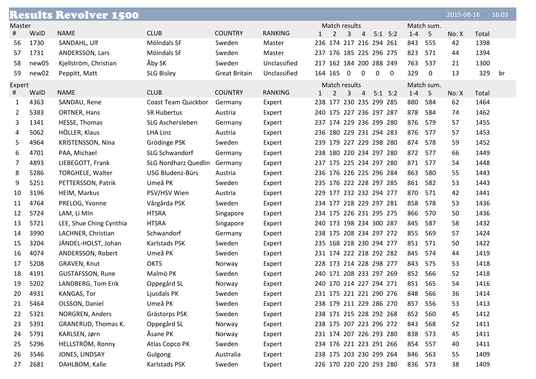|        |       | <b>Results Revolver 1500</b> |                             |                      |                |                                     |                |                               |         |                | 2015-08-16 |       | 16:03 |
|--------|-------|------------------------------|-----------------------------|----------------------|----------------|-------------------------------------|----------------|-------------------------------|---------|----------------|------------|-------|-------|
| Master |       |                              |                             |                      |                | Match results                       |                |                               |         | Match sum.     |            |       |       |
| #      | WalD  | <b>NAME</b>                  | <b>CLUB</b>                 | <b>COUNTRY</b>       | <b>RANKING</b> | 2<br>$\mathbf{3}$<br>$\mathbf{1}$   | $\overline{4}$ | $5:1$ $5:2$                   | $1 - 4$ | -5             | No: X      | Total |       |
| 56     | 1730  | SANDAHL, Ulf                 | Mölndals SF                 | Sweden               | Master         | 236 174 217 216 294 261             |                |                               | 843     | 555            | 42         | 1398  |       |
| 57     | 1731  | ANDERSSON, Lars              | Mölndals SF                 | Sweden               | Master         | 237 176 185 225 296 275             |                |                               | 823     | 571            | 44         | 1394  |       |
| 58     | new05 | Kjellström, Christian        | Åby SK                      | Sweden               | Unclassified   | 217 162 184 200 288 249             |                |                               | 763     | 537            | 21         | 1300  |       |
| 59     | new02 | Peppitt, Matt                | <b>SLG Bisley</b>           | <b>Great Britain</b> | Unclassified   | 164 165<br>$\overline{0}$           | $\overline{0}$ | $\mathbf 0$<br>$\overline{0}$ | 329     | $\overline{0}$ | 13         | 329   | br    |
| Expert |       |                              |                             |                      |                | Match results                       |                |                               |         | Match sum.     |            |       |       |
| #      | WalD  | <b>NAME</b>                  | <b>CLUB</b>                 | <b>COUNTRY</b>       | <b>RANKING</b> | $\overline{3}$<br>$\mathbf{1}$<br>2 | $\overline{4}$ | $5:1$ $5:2$                   | $1 - 4$ | $5^{\circ}$    | No: X      | Total |       |
| 1      | 4363  | SANDAU, Rene                 | Coast Team Quickbor         | Germany              | Expert         | 238 177 230 235 299 285             |                |                               | 880     | 584            | 62         | 1464  |       |
| 2      | 5383  | ORTNER, Hans                 | <b>SR Hubertus</b>          | Austria              | Expert         | 240 175 227 236 297 287             |                |                               | 878     | 584            | 74         | 1462  |       |
| 3      | 1341  | HESSE, Thomas                | SLG Aschersleben            | Germany              | Expert         | 237 174 229 236 299 280             |                |                               | 876     | 579            | 57         | 1455  |       |
| 4      | 5062  | HÖLLER, Klaus                | LHA Linz                    | Austria              | Expert         | 236 180 229 231 294 283             |                |                               | 876     | 577            | 57         | 1453  |       |
| 5      | 4964  | KRISTENSSON, Nina            | Grödinge PSK                | Sweden               | Expert         | 239 179 227 229 298 280             |                |                               | 874     | 578            | 59         | 1452  |       |
| 6      | 4701  | PAA, Michael                 | SLG Schwandorf              | Germany              | Expert         | 238 180 220 234 297 280             |                |                               | 872     | 577            | 66         | 1449  |       |
| 7      | 4893  | LIEBEGOTT, Frank             | <b>SLG Nordharz Quedlin</b> | Germany              | Expert         | 237 175 225 234 297 280             |                |                               | 871     | 577            | 54         | 1448  |       |
| 8      | 5286  | <b>TORGHELE, Walter</b>      | USG Bludenz-Bürs            | Austria              | Expert         | 236 176 226 225 296 284             |                |                               | 863     | 580            | 55         | 1443  |       |
| 9      | 5251  | PETTERSSON, Patrik           | Umeå PK                     | Sweden               | Expert         | 235 176 222 228 297 285             |                |                               | 861     | 582            | 53         | 1443  |       |
| 10     | 3196  | HEIM, Markus                 | PSV/HSV Wien                | Austria              | Expert         | 229 177 232 232 294 277             |                |                               | 870     | 571            | 42         | 1441  |       |
| 11     | 4764  | PRELOG, Yvonne               | Vårgårda PSK                | Sweden               | Expert         | 234 177 218 229 297 281             |                |                               | 858     | 578            | 53         | 1436  |       |
| 12     | 5724  | LAM, Li MIn                  | <b>HTSRA</b>                | Singapore            | Expert         | 234 175 226 231 295 275             |                |                               | 866     | 570            | 50         | 1436  |       |
| 13     | 5721  | LEE, Shue Ching Cynthia      | <b>HTSRA</b>                | Singapore            | Expert         | 240 173 198 234 300 287             |                |                               | 845     | 587            | 58         | 1432  |       |
| 14     | 3990  | LACHNER, Christian           | Schwandorf                  | Germany              | Expert         | 238 175 208 234 297 272             |                |                               | 855     | 569            | 57         | 1424  |       |
| 15     | 3204  | JÄNDEL-HOLST, Johan          | Karlstads PSK               | Sweden               | Expert         | 235 168 218 230 294 277             |                |                               | 851     | 571            | 50         | 1422  |       |
| 16     | 4074  | ANDERSSON, Robert            | Umeå PK                     | Sweden               | Expert         | 231 174 222 218 292 282             |                |                               | 845     | 574            | 44         | 1419  |       |
| 17     | 5208  | GRAVEN, Knut                 | <b>OKTS</b>                 | Norway               | Expert         | 228 173 214 228 298 277             |                |                               | 843     | 575            | 53         | 1418  |       |
| 18     | 4191  | <b>GUSTAFSSON, Rune</b>      | Malmö PK                    | Sweden               | Expert         | 240 171 208 233 297 269             |                |                               | 852     | 566            | 52         | 1418  |       |
| 19     | 5202  | LANDBERG, Tom Erik           | Oppegård SL                 | Norway               | Expert         | 240 170 214 227 294 271             |                |                               | 851     | 565            | 54         | 1416  |       |
| 20     | 4931  | KANGAS, Tor                  | Ljusdals PK                 | Sweden               | Expert         | 231 175 221 221 290 276             |                |                               | 848     | - 566          | 36         | 1414  |       |
| 21     | 5464  | OLSSON, Daniel               | Umeå PK                     | Sweden               | Expert         | 238 179 211 229 286 270             |                |                               | 857     | 556            | 53         | 1413  |       |
| 22     | 5321  | NORGREN, Anders              | Grästorps PSK               | Sweden               | Expert         | 238 171 215 228 292 268             |                |                               | 852     | 560            | 45         | 1412  |       |
| 23     | 5391  | GRANERUD, Thomas K.          | Oppegård SL                 | Norway               | Expert         | 238 175 207 223 296 272             |                |                               | 843     | 568            | 52         | 1411  |       |
| 24     | 5791  | KARLSEN, Jørn                | Åsane PK                    | Norway               | Expert         | 231 174 207 226 293 280             |                |                               | 838     | 573            | 45         | 1411  |       |
| 25     | 5296  | HELLSTRÖM, Ronny             | Atlas Copco PK              | Sweden               | Expert         | 234 176 221 223 291 266             |                |                               | 854 557 |                | 40         | 1411  |       |
| 26     | 3546  | JONES, LINDSAY               | Gulgong                     | Australia            | Expert         | 238 175 203 230 299 264             |                |                               | 846     | 563            | 55         | 1409  |       |
| 27     | 2681  | DAHLBOM, Kalle               | Karlstads PSK               | Sweden               | Expert         | 226 170 220 220 293 280             |                |                               |         | 836 573        | 38         | 1409  |       |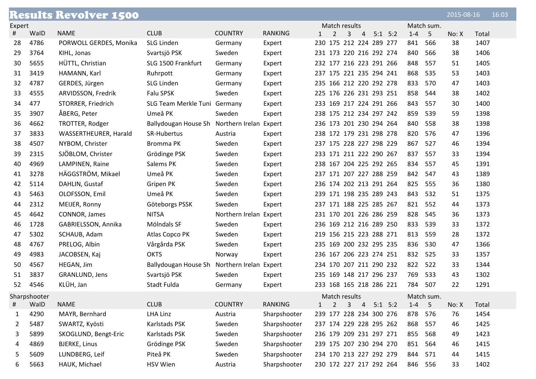|        |              | <b>Results Revolver 1500</b> |                                             |                        |                |              |                         |   |                |             |         |            | 2015-08-16 |       | 16:03 |
|--------|--------------|------------------------------|---------------------------------------------|------------------------|----------------|--------------|-------------------------|---|----------------|-------------|---------|------------|------------|-------|-------|
| Expert |              |                              |                                             |                        |                |              | Match results           |   |                |             |         | Match sum. |            |       |       |
| #      | WalD         | <b>NAME</b>                  | <b>CLUB</b>                                 | <b>COUNTRY</b>         | <b>RANKING</b> | $\mathbf{1}$ | 2                       | 3 | 4              | $5:1$ $5:2$ | $1 - 4$ | -5         | No: X      | Total |       |
| 28     | 4786         | PORWOLL GERDES, Monika       | <b>SLG Linden</b>                           | Germany                | Expert         |              | 230 175 212 224 289 277 |   |                |             | 841     | 566        | 38         | 1407  |       |
| 29     | 3764         | KIHL, Jonas                  | Svartsjö PSK                                | Sweden                 | Expert         |              | 231 173 220 216 292 274 |   |                |             | 840     | 566        | 38         | 1406  |       |
| 30     | 5655         | HÜTTL, Christian             | SLG 1500 Frankfurt                          | Germany                | Expert         |              | 232 177 216 223 291 266 |   |                |             | 848     | 557        | 51         | 1405  |       |
| 31     | 3419         | HAMANN, Karl                 | Ruhrpott                                    | Germany                | Expert         |              | 237 175 221 235 294 241 |   |                |             | 868     | 535        | 53         | 1403  |       |
| 32     | 4787         | GERDES, Jürgen               | SLG Linden                                  | Germany                | Expert         |              | 235 166 212 220 292 278 |   |                |             | 833     | 570        | 47         | 1403  |       |
| 33     | 4555         | ARVIDSSON, Fredrik           | Falu SPSK                                   | Sweden                 | Expert         |              | 225 176 226 231 293 251 |   |                |             | 858     | 544        | 38         | 1402  |       |
| 34     | 477          | STORRER, Friedrich           | SLG Team Merkle Tuni Germany                |                        | Expert         |              | 233 169 217 224 291 266 |   |                |             | 843     | 557        | 30         | 1400  |       |
| 35     | 3907         | ÅBERG, Peter                 | Umeå PK                                     | Sweden                 | Expert         |              | 238 175 212 234 297 242 |   |                |             | 859     | 539        | 59         | 1398  |       |
| 36     | 4662         | TROTTER, Rodger              | Ballydougan House Sh                        | Northern Irelan Expert |                |              | 236 173 201 230 294 264 |   |                |             | 840     | 558        | 38         | 1398  |       |
| 37     | 3833         | <b>WASSERTHEURER, Harald</b> | SR-Hubertus                                 | Austria                | Expert         |              | 238 172 179 231 298 278 |   |                |             | 820     | 576        | 47         | 1396  |       |
| 38     | 4507         | NYBOM, Christer              | Bromma PK                                   | Sweden                 | Expert         |              | 237 175 228 227 298 229 |   |                |             | 867     | 527        | 46         | 1394  |       |
| 39     | 2315         | SJÖBLOM, Christer            | Grödinge PSK                                | Sweden                 | Expert         |              | 233 171 211 222 290 267 |   |                |             | 837     | 557        | 33         | 1394  |       |
| 40     | 4969         | LAMPINEN, Raine              | Salems PK                                   | Sweden                 | Expert         |              | 238 167 204 225 292 265 |   |                |             | 834     | 557        | 45         | 1391  |       |
| 41     | 3278         | HÄGGSTRÖM, Mikael            | Umeå PK                                     | Sweden                 | Expert         |              | 237 171 207 227 288 259 |   |                |             | 842     | 547        | 43         | 1389  |       |
| 42     | 5114         | DAHLIN, Gustaf               | Gripen PK                                   | Sweden                 | Expert         |              | 236 174 202 213 291 264 |   |                |             | 825     | 555        | 36         | 1380  |       |
| 43     | 5463         | OLOFSSON, Emil               | Umeå PK                                     | Sweden                 | Expert         |              | 239 171 198 235 289 243 |   |                |             | 843     | 532        | 51         | 1375  |       |
| 44     | 2312         | MEIJER, Ronny                | Göteborgs PSSK                              | Sweden                 | Expert         |              | 237 171 188 225 285 267 |   |                |             | 821     | 552        | 44         | 1373  |       |
| 45     | 4642         | CONNOR, James                | <b>NITSA</b>                                | Northern Irelan Expert |                |              | 231 170 201 226 286 259 |   |                |             | 828     | 545        | 36         | 1373  |       |
| 46     | 1728         | GABRIELSSON, Annika          | Mölndals SF                                 | Sweden                 | Expert         |              | 236 169 212 216 289 250 |   |                |             | 833     | 539        | 33         | 1372  |       |
| 47     | 5302         | SCHAUB, Adam                 | Atlas Copco PK                              | Sweden                 | Expert         |              | 219 156 215 223 288 271 |   |                |             | 813     | 559        | 28         | 1372  |       |
| 48     | 4767         | PRELOG, Albin                | Vårgårda PSK                                | Sweden                 | Expert         |              | 235 169 200 232 295 235 |   |                |             | 836     | 530        | 47         | 1366  |       |
| 49     | 4983         | JACOBSEN, Kaj                | <b>OKTS</b>                                 | Norway                 | Expert         |              | 236 167 206 223 274 251 |   |                |             | 832     | 525        | 33         | 1357  |       |
| 50     | 4567         | HEGAN, Jim                   | Ballydougan House Sh Northern Irelan Expert |                        |                |              | 234 170 207 211 290 232 |   |                |             | 822     | 522        | 33         | 1344  |       |
| 51     | 3837         | GRANLUND, Jens               | Svartsjö PSK                                | Sweden                 | Expert         |              | 235 169 148 217 296 237 |   |                |             | 769     | 533        | 43         | 1302  |       |
| 52     | 4546         | KLÜH, Jan                    | Stadt Fulda                                 | Germany                | Expert         |              | 233 168 165 218 286 221 |   |                |             | 784     | 507        | 22         | 1291  |       |
|        | Sharpshooter |                              |                                             |                        |                |              | Match results           |   |                |             |         | Match sum. |            |       |       |
| #      | WalD         | <b>NAME</b>                  | <b>CLUB</b>                                 | <b>COUNTRY</b>         | <b>RANKING</b> | $\mathbf{1}$ | 2                       | 3 | $\overline{4}$ | $5:1$ $5:2$ | $1 - 4$ | $-5$       | No: X      | Total |       |
| 1      | 4290         | MAYR, Bernhard               | LHA Linz                                    | Austria                | Sharpshooter   |              | 239 177 228 234 300 276 |   |                |             | 878     | 576        | 76         | 1454  |       |
| 2      | 5487         | SWARTZ, Kyösti               | Karlstads PSK                               | Sweden                 | Sharpshooter   |              | 237 174 229 228 295 262 |   |                |             | 868     | 557        | 46         | 1425  |       |
| 3      | 5899         | SKOGLUND, Bengt-Eric         | Karlstads PSK                               | Sweden                 | Sharpshooter   |              | 236 179 209 231 297 271 |   |                |             | 855     | 568        | 49         | 1423  |       |
| 4      | 4869         | <b>BJERKE, Linus</b>         | Grödinge PSK                                | Sweden                 | Sharpshooter   |              | 239 175 207 230 294 270 |   |                |             | 851     | 564        | 46         | 1415  |       |
| 5      | 5609         | LUNDBERG, Leif               | Piteå PK                                    | Sweden                 | Sharpshooter   |              | 234 170 213 227 292 279 |   |                |             | 844     | 571        | 44         | 1415  |       |
| 6      | 5663         | HAUK, Michael                | HSV Wien                                    | Austria                | Sharpshooter   |              | 230 172 227 217 292 264 |   |                |             | 846     | 556        | 33         | 1402  |       |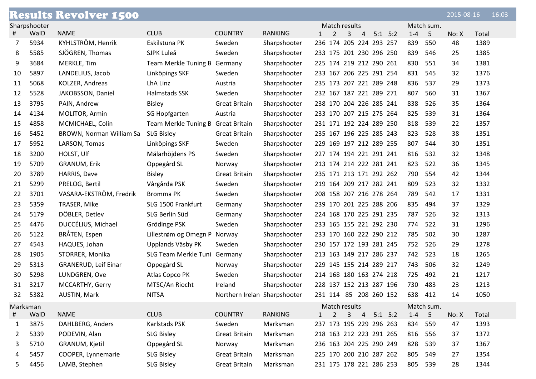|          |              | <b>Results Revolver 1500</b>    |                                    |                              |                |              |               |   |                |                         |         |            | 2015-08-16 |       | 16:03 |
|----------|--------------|---------------------------------|------------------------------------|------------------------------|----------------|--------------|---------------|---|----------------|-------------------------|---------|------------|------------|-------|-------|
|          | Sharpshooter |                                 |                                    |                              |                |              | Match results |   |                |                         |         | Match sum. |            |       |       |
| Ħ        | WalD         | <b>NAME</b>                     | <b>CLUB</b>                        | <b>COUNTRY</b>               | <b>RANKING</b> | $\mathbf{1}$ | 2             | 3 | $\overline{4}$ | $5:1$ $5:2$             | $1 - 4$ | -5         | No: X      | Total |       |
| 7        | 5934         | KYHLSTRÖM, Henrik               | Eskilstuna PK                      | Sweden                       | Sharpshooter   |              |               |   |                | 236 174 205 224 293 257 | 839     | 550        | 48         | 1389  |       |
| 8        | 5585         | SJÖGREN, Thomas                 | SJPK Luleå                         | Sweden                       | Sharpshooter   |              |               |   |                | 233 175 201 230 296 250 | 839     | 546        | 25         | 1385  |       |
| 9        | 3684         | MERKLE, Tim                     | Team Merkle Tuning B Germany       |                              | Sharpshooter   |              |               |   |                | 225 174 219 212 290 261 | 830     | 551        | 34         | 1381  |       |
| 10       | 5897         | LANDELIUS, Jacob                | Linköpings SKF                     | Sweden                       | Sharpshooter   |              |               |   |                | 233 167 206 225 291 254 | 831     | 545        | 32         | 1376  |       |
| 11       | 5068         | KOLZER, Andreas                 | LhA Linz                           | Austria                      | Sharpshooter   |              |               |   |                | 235 173 207 221 289 248 | 836     | 537        | 29         | 1373  |       |
| 12       | 5528         | JAKOBSSON, Daniel               | <b>Halmstads SSK</b>               | Sweden                       | Sharpshooter   |              |               |   |                | 232 167 187 221 289 271 | 807     | 560        | 31         | 1367  |       |
| 13       | 3795         | PAIN, Andrew                    | <b>Bisley</b>                      | <b>Great Britain</b>         | Sharpshooter   |              |               |   |                | 238 170 204 226 285 241 | 838     | 526        | 35         | 1364  |       |
| 14       | 4134         | MOLITOR, Armin                  | SG Hopfgarten                      | Austria                      | Sharpshooter   |              |               |   |                | 233 170 207 215 275 264 | 825     | 539        | 31         | 1364  |       |
| 15       | 4858         | MCMICHAEL, Colin                | Team Merkle Tuning B Great Britain |                              | Sharpshooter   |              |               |   |                | 231 171 192 224 289 250 | 818     | 539        | 22         | 1357  |       |
| 16       | 5452         | <b>BROWN, Norman William Sa</b> | <b>SLG Bisley</b>                  | <b>Great Britain</b>         | Sharpshooter   |              |               |   |                | 235 167 196 225 285 243 | 823     | 528        | 38         | 1351  |       |
| 17       | 5952         | LARSON, Tomas                   | Linköpings SKF                     | Sweden                       | Sharpshooter   |              |               |   |                | 229 169 197 212 289 255 | 807     | 544        | 30         | 1351  |       |
| 18       | 3200         | HOLST, Ulf                      | Mälarhöjdens PS                    | Sweden                       | Sharpshooter   |              |               |   |                | 227 174 194 221 291 241 | 816     | 532        | 32         | 1348  |       |
| 19       | 5709         | <b>GRANUM, Erik</b>             | Oppegård SL                        | Norway                       | Sharpshooter   |              |               |   |                | 213 174 214 222 281 241 | 823     | 522        | 36         | 1345  |       |
| 20       | 3789         | HARRIS, Dave                    | <b>Bisley</b>                      | <b>Great Britain</b>         | Sharpshooter   |              |               |   |                | 235 171 213 171 292 262 | 790     | 554        | 42         | 1344  |       |
| 21       | 5299         | PRELOG, Bertil                  | Vårgårda PSK                       | Sweden                       | Sharpshooter   |              |               |   |                | 219 164 209 217 282 241 | 809     | 523        | 32         | 1332  |       |
| 22       | 3701         | VASARA-EKSTRÖM, Fredrik         | Bromma PK                          | Sweden                       | Sharpshooter   |              |               |   |                | 208 158 207 216 278 264 | 789     | 542        | 17         | 1331  |       |
| 23       | 5359         | TRASER, Mike                    | SLG 1500 Frankfurt                 | Germany                      | Sharpshooter   |              |               |   |                | 239 170 201 225 288 206 | 835     | 494        | 37         | 1329  |       |
| 24       | 5179         | DÖBLER, Detlev                  | SLG Berlin Süd                     | Germany                      | Sharpshooter   |              |               |   |                | 224 168 170 225 291 235 | 787     | 526        | 32         | 1313  |       |
| 25       | 4476         | DUCCÉLIUS, Michael              | Grödinge PSK                       | Sweden                       | Sharpshooter   |              |               |   |                | 233 165 155 221 292 230 | 774     | 522        | 31         | 1296  |       |
| 26       | 5122         | BRÅTEN, Espen                   | Lillestrøm og Omegn P              | Norway                       | Sharpshooter   |              |               |   |                | 233 170 160 222 290 212 | 785     | 502        | 30         | 1287  |       |
| 27       | 4543         | HAQUES, Johan                   | Upplands Väsby PK                  | Sweden                       | Sharpshooter   |              |               |   |                | 230 157 172 193 281 245 | 752     | 526        | 29         | 1278  |       |
| 28       | 1905         | STORRER, Monika                 | SLG Team Merkle Tuni Germany       |                              | Sharpshooter   |              |               |   |                | 213 163 149 217 286 237 | 742     | 523        | 18         | 1265  |       |
| 29       | 5313         | <b>GRANERUD, Leif Einar</b>     | Oppegård SL                        | Norway                       | Sharpshooter   |              |               |   |                | 229 145 155 214 289 217 | 743     | 506        | 32         | 1249  |       |
| 30       | 5298         | LUNDGREN, Ove                   | Atlas Copco PK                     | Sweden                       | Sharpshooter   |              |               |   |                | 214 168 180 163 274 218 | 725     | 492        | 21         | 1217  |       |
| 31       | 3217         | MCCARTHY, Gerry                 | MTSC/An Riocht                     | Ireland                      | Sharpshooter   |              |               |   |                | 228 137 152 213 287 196 | 730     | 483        | 23         | 1213  |       |
| 32       | 5382         | AUSTIN, Mark                    | <b>NITSA</b>                       | Northern Irelan Sharpshooter |                |              |               |   |                | 231 114 85 208 260 152  | 638 412 |            | 14         | 1050  |       |
| Marksman |              |                                 |                                    |                              |                |              | Match results |   |                |                         |         | Match sum. |            |       |       |
| #        | WalD         | <b>NAME</b>                     | <b>CLUB</b>                        | <b>COUNTRY</b>               | <b>RANKING</b> | $1 \quad 2$  |               |   |                | $3 \t 4 \t 5:1 \t 5:2$  | $1-4$ 5 |            | No: X      | Total |       |
| 1        | 3875         | DAHLBERG, Anders                | Karlstads PSK                      | Sweden                       | Marksman       |              |               |   |                | 237 173 195 229 296 263 | 834 559 |            | 47         | 1393  |       |
| 2        | 5339         | PODEVIN, Alan                   | <b>SLG Bisley</b>                  | <b>Great Britain</b>         | Marksman       |              |               |   |                | 218 163 212 223 291 265 | 816     | 556        | 37         | 1372  |       |
| 3        | 5710         | GRANUM, Kjetil                  | Oppegård SL                        | Norway                       | Marksman       |              |               |   |                | 236 163 204 225 290 249 | 828     | 539        | 37         | 1367  |       |
| 4        | 5457         | COOPER, Lynnemarie              | <b>SLG Bisley</b>                  | <b>Great Britain</b>         | Marksman       |              |               |   |                | 225 170 200 210 287 262 | 805     | 549        | 27         | 1354  |       |
| 5.       | 4456         | LAMB, Stephen                   | <b>SLG Bisley</b>                  | <b>Great Britain</b>         | Marksman       |              |               |   |                | 231 175 178 221 286 253 | 805     | 539        | 28         | 1344  |       |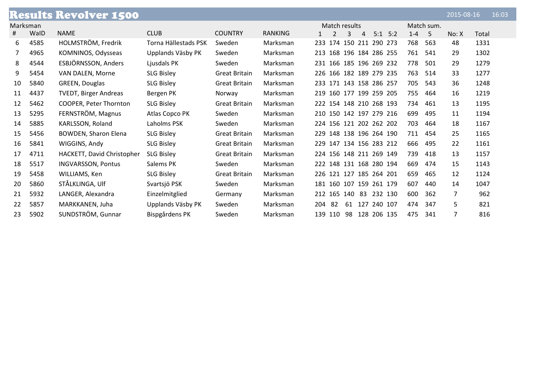|    |          | <b>Results Revolver 1500</b> |                      |                      |                |                              |             |                | 2015-08-16 | 16:03 |
|----|----------|------------------------------|----------------------|----------------------|----------------|------------------------------|-------------|----------------|------------|-------|
|    | Marksman |                              |                      |                      |                | Match results                |             | Match sum.     |            |       |
| #  | WalD     | <b>NAME</b>                  | <b>CLUB</b>          | <b>COUNTRY</b>       | <b>RANKING</b> | 3<br>$\overline{4}$<br>1     | $5:1$ $5:2$ | $1 - 4$<br>- 5 | No: X      | Total |
| 6  | 4585     | HOLMSTRÖM, Fredrik           | Torna Hällestads PSK | Sweden               | Marksman       | 233 174 150 211 290 273      |             | 768<br>563     | 48         | 1331  |
| 7  | 4965     | KOMNINOS, Odysseas           | Upplands Väsby PK    | Sweden               | Marksman       | 213 168 196 184 286 255      |             | 761<br>541     | 29         | 1302  |
| 8  | 4544     | ESBJÖRNSSON, Anders          | Ljusdals PK          | Sweden               | Marksman       | 231 166 185 196 269 232      |             | 778<br>501     | 29         | 1279  |
| 9  | 5454     | VAN DALEN, Morne             | <b>SLG Bisley</b>    | <b>Great Britain</b> | Marksman       | 226 166 182 189 279 235      |             | 763<br>514     | 33         | 1277  |
| 10 | 5840     | GREEN, Douglas               | <b>SLG Bisley</b>    | <b>Great Britain</b> | Marksman       | 233 171 143 158 286 257      |             | 705<br>543     | 36         | 1248  |
| 11 | 4437     | <b>TVEDT, Birger Andreas</b> | Bergen PK            | Norway               | Marksman       | 219 160 177 199 259 205      |             | 755<br>464     | 16         | 1219  |
| 12 | 5462     | COOPER, Peter Thornton       | <b>SLG Bisley</b>    | <b>Great Britain</b> | Marksman       | 222 154 148 210 268 193      |             | 734<br>461     | 13         | 1195  |
| 13 | 5295     | FERNSTRÖM, Magnus            | Atlas Copco PK       | Sweden               | Marksman       | 210 150 142 197 279 216      |             | 699<br>495     | 11         | 1194  |
| 14 | 5885     | KARLSSON, Roland             | Laholms PSK          | Sweden               | Marksman       | 224 156 121 202 262 202      |             | 703<br>464     | 18         | 1167  |
| 15 | 5456     | <b>BOWDEN, Sharon Elena</b>  | <b>SLG Bisley</b>    | <b>Great Britain</b> | Marksman       | 148 138 196 264 190<br>229   |             | 711<br>454     | 25         | 1165  |
| 16 | 5841     | WIGGINS, Andy                | <b>SLG Bisley</b>    | <b>Great Britain</b> | Marksman       | 147 134 156 283 212<br>229   |             | 666<br>495     | 22         | 1161  |
| 17 | 4711     | HACKETT, David Christopher   | <b>SLG Bisley</b>    | <b>Great Britain</b> | Marksman       | 224 156 148 211 269 149      |             | 739<br>418     | 13         | 1157  |
| 18 | 5517     | <b>INGVARSSON, Pontus</b>    | Salems PK            | Sweden               | Marksman       | 222 148 131 168 280 194      |             | 669<br>474     | 15         | 1143  |
| 19 | 5458     | WILLIAMS, Ken                | <b>SLG Bisley</b>    | <b>Great Britain</b> | Marksman       | 226 121 127 185 264 201      |             | 659<br>465     | 12         | 1124  |
| 20 | 5860     | STÅLKLINGA, Ulf              | Svartsjö PSK         | Sweden               | Marksman       | 181 160 107 159 261 179      |             | 607<br>440     | 14         | 1047  |
| 21 | 5932     | LANGER, Alexandra            | Einzelmitglied       | Germany              | Marksman       | 212 165 140 83 232 130       |             | 600<br>362     | 7          | 962   |
| 22 | 5857     | MARKKANEN, Juha              | Upplands Väsby PK    | Sweden               | Marksman       | -82<br>61 127 240 107<br>204 |             | 474<br>347     | 5.         | 821   |
| 23 | 5902     | SUNDSTRÖM, Gunnar            | Bispgårdens PK       | Sweden               | Marksman       | 98 128 206 135<br>110<br>139 |             | 475<br>341     |            | 816   |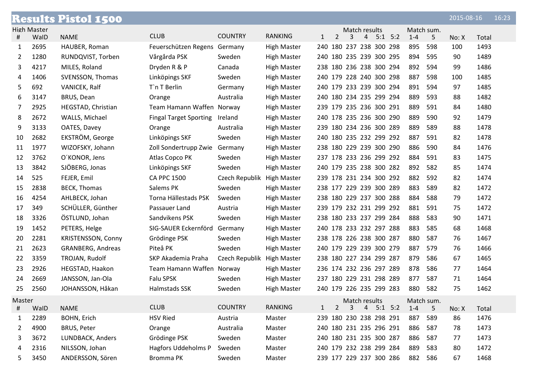|        |                    | <b>Results Pistol 1500</b> |                               |                            |                    |              |                |   |                         |             |         |            | 2015-08-16 |       | 16:23 |
|--------|--------------------|----------------------------|-------------------------------|----------------------------|--------------------|--------------|----------------|---|-------------------------|-------------|---------|------------|------------|-------|-------|
|        | <b>High Master</b> |                            |                               |                            |                    |              |                |   | Match results           |             |         | Match sum. |            |       |       |
| #      | WalD               | <b>NAME</b>                | <b>CLUB</b>                   | <b>COUNTRY</b>             | <b>RANKING</b>     | $\mathbf{1}$ | $\overline{2}$ | 3 | 4                       | $5:1$ $5:2$ | $1 - 4$ | 5          | No: X      | Total |       |
| 1      | 2695               | HAUBER, Roman              | Feuerschützen Regens          | Germany                    | <b>High Master</b> |              |                |   | 240 180 237 238 300 298 |             | 895     | 598        | 100        | 1493  |       |
| 2      | 1280               | RUNDQVIST, Torben          | Vårgårda PSK                  | Sweden                     | <b>High Master</b> |              |                |   | 240 180 235 239 300 295 |             | 894     | 595        | 90         | 1489  |       |
| 3      | 4217               | MILES, Roland              | Dryden R & P                  | Canada                     | <b>High Master</b> |              |                |   | 238 180 236 238 300 294 |             | 892     | 594        | 99         | 1486  |       |
| 4      | 1406               | SVENSSON, Thomas           | Linköpings SKF                | Sweden                     | <b>High Master</b> |              |                |   | 240 179 228 240 300 298 |             | 887     | 598        | 100        | 1485  |       |
| 5      | 692                | VANICEK, Ralf              | T`n T Berlin                  | Germany                    | <b>High Master</b> |              |                |   | 240 179 233 239 300 294 |             | 891     | 594        | 97         | 1485  |       |
| 6      | 3147               | BRUS, Dean                 | Orange                        | Australia                  | <b>High Master</b> |              |                |   | 240 180 234 235 299 294 |             | 889     | 593        | 88         | 1482  |       |
| 7      | 2925               | HEGSTAD, Christian         | Team Hamann Waffen Norway     |                            | <b>High Master</b> |              |                |   | 239 179 235 236 300 291 |             | 889     | 591        | 84         | 1480  |       |
| 8      | 2672               | WALLS, Michael             | <b>Fingal Target Sporting</b> | Ireland                    | <b>High Master</b> |              |                |   | 240 178 235 236 300 290 |             | 889     | 590        | 92         | 1479  |       |
| 9      | 3133               | OATES, Davey               | Orange                        | Australia                  | <b>High Master</b> |              |                |   | 239 180 234 236 300 289 |             | 889     | 589        | 88         | 1478  |       |
| 10     | 2682               | EKSTRÖM, George            | Linköpings SKF                | Sweden                     | <b>High Master</b> |              |                |   | 240 180 235 232 299 292 |             | 887     | 591        | 82         | 1478  |       |
| 11     | 1977               | WIZOFSKY, Johann           | Zoll Sondertrupp Zwie         | Germany                    | <b>High Master</b> |              |                |   | 238 180 229 239 300 290 |             | 886     | 590        | 84         | 1476  |       |
| 12     | 3762               | O'KONOR, Jens              | Atlas Copco PK                | Sweden                     | <b>High Master</b> |              |                |   | 237 178 233 236 299 292 |             | 884     | 591        | 83         | 1475  |       |
| 13     | 3842               | SJÖBERG, Jonas             | Linköpings SKF                | Sweden                     | <b>High Master</b> |              |                |   | 240 179 235 238 300 282 |             | 892     | 582        | 85         | 1474  |       |
| 14     | 525                | FEJER, Emil                | <b>CA PPC 1500</b>            | Czech Republik High Master |                    |              |                |   | 239 178 231 234 300 292 |             | 882     | 592        | 82         | 1474  |       |
| 15     | 2838               | <b>BECK, Thomas</b>        | Salems PK                     | Sweden                     | <b>High Master</b> |              |                |   | 238 177 229 239 300 289 |             | 883     | 589        | 82         | 1472  |       |
| 16     | 4254               | AHLBECK, Johan             | Torna Hällestads PSK          | Sweden                     | <b>High Master</b> |              |                |   | 238 180 229 237 300 288 |             | 884     | 588        | 79         | 1472  |       |
| 17     | 349                | SCHÜLLER, Günther          | Passauer Land                 | Austria                    | <b>High Master</b> |              |                |   | 239 179 232 231 299 292 |             | 881     | 591        | 75         | 1472  |       |
| 18     | 3326               | ÖSTLUND, Johan             | Sandvikens PSK                | Sweden                     | <b>High Master</b> |              |                |   | 238 180 233 237 299 284 |             | 888     | 583        | 90         | 1471  |       |
| 19     | 1452               | PETERS, Helge              | SIG-SAUER Eckernförd          | Germany                    | <b>High Master</b> |              |                |   | 240 178 233 232 297 288 |             | 883     | 585        | 68         | 1468  |       |
| 20     | 2281               | <b>KRISTENSSON, Conny</b>  | Grödinge PSK                  | Sweden                     | <b>High Master</b> |              |                |   | 238 178 226 238 300 287 |             | 880     | 587        | 76         | 1467  |       |
| 21     | 2623               | GRANBERG, Andreas          | Piteå PK                      | Sweden                     | <b>High Master</b> |              |                |   | 240 179 229 239 300 279 |             | 887     | 579        | 76         | 1466  |       |
| 22     | 3359               | TROJAN, Rudolf             | SKP Akademia Praha            | Czech Republik             | <b>High Master</b> |              |                |   | 238 180 227 234 299 287 |             | 879     | 586        | 67         | 1465  |       |
| 23     | 2926               | HEGSTAD, Haakon            | Team Hamann Waffen Norway     |                            | <b>High Master</b> |              |                |   | 236 174 232 236 297 289 |             | 878     | 586        | 77         | 1464  |       |
| 24     | 2669               | JANSSON, Jan-Ola           | Falu SPSK                     | Sweden                     | <b>High Master</b> |              |                |   | 237 180 229 231 298 289 |             | 877     | 587        | 71         | 1464  |       |
| 25     | 2560               | JOHANSSON, Håkan           | Halmstads SSK                 | Sweden                     | <b>High Master</b> |              |                |   | 240 179 226 235 299 283 |             | 880     | 582        | 75         | 1462  |       |
| Master |                    |                            |                               |                            |                    |              |                |   | Match results           |             |         | Match sum. |            |       |       |
| #      | WalD               | <b>NAME</b>                | <b>CLUB</b>                   | <b>COUNTRY</b>             | <b>RANKING</b>     | 1            | $\overline{2}$ | 3 | 4                       | $5:1$ $5:2$ | $1 - 4$ | 5          | No: X      | Total |       |
| 1      | 2289               | <b>BOHN, Erich</b>         | <b>HSV Ried</b>               | Austria                    | Master             |              |                |   | 239 180 230 238 298 291 |             | 887     | 589        | 86         | 1476  |       |
| 2      | 4900               | <b>BRUS, Peter</b>         | Orange                        | Australia                  | Master             |              |                |   | 240 180 231 235 296 291 |             | 886     | 587        | 78         | 1473  |       |
| 3      | 3672               | LUNDBACK, Anders           | Grödinge PSK                  | Sweden                     | Master             |              |                |   | 240 180 231 235 300 287 |             | 886     | 587        | 77         | 1473  |       |
| 4      | 2316               | NILSSON, Johan             | <b>Hagfors Uddeholms P</b>    | Sweden                     | Master             |              |                |   | 240 179 232 238 299 284 |             | 889     | 583        | 80         | 1472  |       |
| 5      | 3450               | ANDERSSON, Sören           | Bromma PK                     | Sweden                     | Master             |              |                |   | 239 177 229 237 300 286 |             | 882 586 |            | 67         | 1468  |       |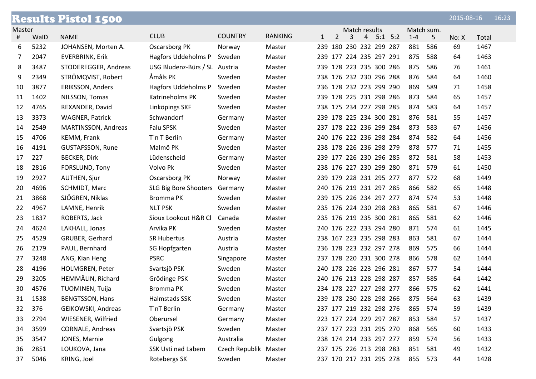|        |      | <b>Results Pistol 1500</b> |                               |                       |                |              |                         |   |                |             |         |            | $2015 - 08 - 16$ |       | 16:23 |
|--------|------|----------------------------|-------------------------------|-----------------------|----------------|--------------|-------------------------|---|----------------|-------------|---------|------------|------------------|-------|-------|
| Master |      |                            |                               |                       |                |              |                         |   | Match results  |             |         | Match sum. |                  |       |       |
| #      | WalD | <b>NAME</b>                | <b>CLUB</b>                   | <b>COUNTRY</b>        | <b>RANKING</b> | $\mathbf{1}$ | $\overline{2}$          | 3 | $\overline{4}$ | $5:1$ $5:2$ | $1 - 4$ | 5          | No: X            | Total |       |
| 6      | 5232 | JOHANSEN, Morten A.        | <b>Oscarsborg PK</b>          | Norway                | Master         |              | 239 180 230 232 299 287 |   |                |             | 881     | 586        | 69               | 1467  |       |
| 7      | 2047 | EVERBRINK, Erik            | Hagfors Uddeholms P           | Sweden                | Master         |              | 239 177 224 235 297 291 |   |                |             | 875     | 588        | 64               | 1463  |       |
| 8      | 3487 | STODEREGGER, Andreas       | USG Bludenz-Bürs / SL Austria |                       | Master         |              | 239 178 223 235 300 286 |   |                |             | 875     | 586        | 76               | 1461  |       |
| 9      | 2349 | STRÖMQVIST, Robert         | Åmåls PK                      | Sweden                | Master         |              | 238 176 232 230 296 288 |   |                |             | 876     | 584        | 64               | 1460  |       |
| 10     | 3877 | <b>ERIKSSON, Anders</b>    | Hagfors Uddeholms P           | Sweden                | Master         |              | 236 178 232 223 299 290 |   |                |             | 869     | 589        | 71               | 1458  |       |
| 11     | 1402 | NILSSON, Tomas             | Katrineholms PK               | Sweden                | Master         |              | 239 178 225 231 298 286 |   |                |             | 873     | 584        | 65               | 1457  |       |
| 12     | 4765 | REXANDER, David            | Linköpings SKF                | Sweden                | Master         |              | 238 175 234 227 298 285 |   |                |             | 874     | 583        | 64               | 1457  |       |
| 13     | 3373 | <b>WAGNER, Patrick</b>     | Schwandorf                    | Germany               | Master         |              | 239 178 225 234 300 281 |   |                |             | 876     | 581        | 55               | 1457  |       |
| 14     | 2549 | MARTINSSON, Andreas        | Falu SPSK                     | Sweden                | Master         |              | 237 178 222 236 299 284 |   |                |             | 873     | 583        | 67               | 1456  |       |
| 15     | 4706 | KEMM, Frank                | T`n T Berlin                  | Germany               | Master         |              | 240 176 222 236 298 284 |   |                |             | 874     | 582        | 64               | 1456  |       |
| 16     | 4191 | <b>GUSTAFSSON, Rune</b>    | Malmö PK                      | Sweden                | Master         |              | 238 178 226 236 298 279 |   |                |             | 878     | 577        | 71               | 1455  |       |
| 17     | 227  | <b>BECKER, Dirk</b>        | Lüdenscheid                   | Germany               | Master         |              | 239 177 226 230 296 285 |   |                |             | 872     | 581        | 58               | 1453  |       |
| 18     | 2816 | FORSLUND, Tony             | Volvo Pk                      | Sweden                | Master         |              | 238 176 227 230 299 280 |   |                |             | 871     | 579        | 61               | 1450  |       |
| 19     | 2927 | <b>AUTHEN, Sjur</b>        | Oscarsborg PK                 | Norway                | Master         |              | 239 179 228 231 295 277 |   |                |             | 877     | 572        | 68               | 1449  |       |
| 20     | 4696 | SCHMIDT, Marc              | SLG Big Bore Shooters Germany |                       | Master         |              | 240 176 219 231 297 285 |   |                |             | 866     | 582        | 65               | 1448  |       |
| 21     | 3868 | SJÖGREN, Niklas            | Bromma PK                     | Sweden                | Master         |              | 239 175 226 234 297 277 |   |                |             | 874     | 574        | 53               | 1448  |       |
| 22     | 4967 | LAMNE, Henrik              | <b>NLT PSK</b>                | Sweden                | Master         |              | 235 176 224 230 298 283 |   |                |             | 865     | 581        | 67               | 1446  |       |
| 23     | 1837 | ROBERTS, Jack              | Sioux Lookout H&R Cl          | Canada                | Master         |              | 235 176 219 235 300 281 |   |                |             | 865     | 581        | 62               | 1446  |       |
| 24     | 4624 | LAKHALL, Jonas             | Arvika PK                     | Sweden                | Master         |              | 240 176 222 233 294 280 |   |                |             | 871     | 574        | 61               | 1445  |       |
| 25     | 4529 | GRUBER, Gerhard            | <b>SR Hubertus</b>            | Austria               | Master         |              | 238 167 223 235 298 283 |   |                |             | 863     | 581        | 67               | 1444  |       |
| 26     | 2179 | PAUL, Bernhard             | SG Hopfgarten                 | Austria               | Master         |              | 236 178 223 232 297 278 |   |                |             | 869     | 575        | 66               | 1444  |       |
| 27     | 3248 | ANG, Kian Heng             | <b>PSRC</b>                   | Singapore             | Master         |              | 237 178 220 231 300 278 |   |                |             | 866     | 578        | 62               | 1444  |       |
| 28     | 4196 | HOLMGREN, Peter            | Svartsjö PSK                  | Sweden                | Master         |              | 240 178 226 223 296 281 |   |                |             | 867     | 577        | 54               | 1444  |       |
| 29     | 3205 | HEMMÄLIN, Richard          | Grödinge PSK                  | Sweden                | Master         |              | 240 176 213 228 298 287 |   |                |             | 857     | 585        | 64               | 1442  |       |
| 30     | 4576 | <b>TUOMINEN, Tuija</b>     | <b>Bromma PK</b>              | Sweden                | Master         |              | 234 178 227 227 298 277 |   |                |             | 866     | 575        | 62               | 1441  |       |
| 31     | 1538 | <b>BENGTSSON, Hans</b>     | Halmstads SSK                 | Sweden                | Master         |              | 239 178 230 228 298 266 |   |                |             | 875 564 |            | 63               | 1439  |       |
| 32     | 376  | GEIKOWSKI, Andreas         | T'nT Berlin                   | Germany               | Master         |              | 237 177 219 232 298 276 |   |                |             | 865     | 574        | 59               | 1439  |       |
| 33     | 2794 | WIESENER, Wilfried         | Oberursel                     | Germany               | Master         |              | 223 177 224 229 297 287 |   |                |             | 853     | 584        | 57               | 1437  |       |
| 34     | 3599 | <b>CORNALE, Andreas</b>    | Svartsjö PSK                  | Sweden                | Master         |              | 237 177 223 231 295 270 |   |                |             | 868     | -565       | 60               | 1433  |       |
| 35     | 3547 | JONES, Marnie              | Gulgong                       | Australia             | Master         |              | 238 174 214 233 297 277 |   |                |             | 859     | 574        | 56               | 1433  |       |
| 36     | 2851 | LOUKOVA, Jana              | SSK Usti nad Labem            | Czech Republik Master |                |              | 237 175 226 213 298 283 |   |                |             | 851     | 581        | 49               | 1432  |       |
| 37     | 5046 | KRING, Joel                | Rotebergs SK                  | Sweden                | Master         |              | 237 170 217 231 295 278 |   |                |             | 855 573 |            | 44               | 1428  |       |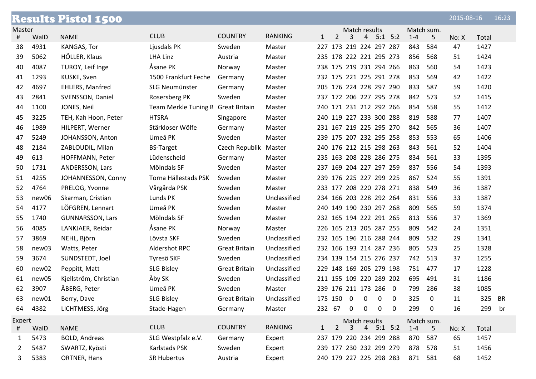|        |       | <b>Results Pistol 1500</b> |                                    |                       |                |              |                |                         |                |             |   |         |                  | 2015-08-16 |        | 16:23 |
|--------|-------|----------------------------|------------------------------------|-----------------------|----------------|--------------|----------------|-------------------------|----------------|-------------|---|---------|------------------|------------|--------|-------|
| Master |       |                            |                                    |                       |                |              |                | Match results           |                |             |   |         | Match sum.       |            |        |       |
| #      | WalD  | <b>NAME</b>                | <b>CLUB</b>                        | <b>COUNTRY</b>        | <b>RANKING</b> | $\mathbf{1}$ | $\overline{2}$ | 3                       | $\overline{4}$ | $5:1$ $5:2$ |   | $1 - 4$ | 5                | No: X      | Total  |       |
| 38     | 4931  | KANGAS, Tor                | Ljusdals PK                        | Sweden                | Master         |              |                | 227 173 219 224 297 287 |                |             |   | 843     | 584              | 47         | 1427   |       |
| 39     | 5062  | HÖLLER, Klaus              | <b>LHA Linz</b>                    | Austria               | Master         |              |                | 235 178 222 221 295 273 |                |             |   | 856     | 568              | 51         | 1424   |       |
| 40     | 4087  | TUROY, Leif Inge           | Åsane PK                           | Norway                | Master         |              |                | 238 175 219 231 294 266 |                |             |   | 863     | 560              | 54         | 1423   |       |
| 41     | 1293  | KUSKE, Sven                | 1500 Frankfurt Feche               | Germany               | Master         |              |                | 232 175 221 225 291 278 |                |             |   | 853     | 569              | 42         | 1422   |       |
| 42     | 4697  | <b>EHLERS, Manfred</b>     | SLG Neumünster                     | Germany               | Master         |              |                | 205 176 224 228 297 290 |                |             |   | 833     | 587              | 59         | 1420   |       |
| 43     | 2841  | SVENSSON, Daniel           | Rosersberg PK                      | Sweden                | Master         |              |                | 237 172 206 227 295 278 |                |             |   | 842     | 573              | 52         | 1415   |       |
| 44     | 1100  | JONES, Neil                | Team Merkle Tuning B Great Britain |                       | Master         |              |                | 240 171 231 212 292 266 |                |             |   | 854     | 558              | 55         | 1412   |       |
| 45     | 3225  | TEH, Kah Hoon, Peter       | <b>HTSRA</b>                       | Singapore             | Master         |              |                | 240 119 227 233 300 288 |                |             |   | 819     | 588              | 77         | 1407   |       |
| 46     | 1989  | HILPERT, Werner            | Stärkloser Wölfe                   | Germany               | Master         |              |                | 231 167 219 225 295 270 |                |             |   | 842     | 565              | 36         | 1407   |       |
| 47     | 5249  | JOHANSSON, Anton           | Umeå PK                            | Sweden                | Master         |              |                | 239 175 207 232 295 258 |                |             |   | 853     | 553              | 65         | 1406   |       |
| 48     | 2184  | ZABLOUDIL, Milan           | <b>BS-Target</b>                   | Czech Republik Master |                |              |                | 240 176 212 215 298 263 |                |             |   | 843     | 561              | 52         | 1404   |       |
| 49     | 613   | HOFFMANN, Peter            | Lüdenscheid                        | Germany               | Master         |              |                | 235 163 208 228 286 275 |                |             |   | 834     | 561              | 33         | 1395   |       |
| 50     | 1731  | ANDERSSON, Lars            | Mölndals SF                        | Sweden                | Master         |              |                | 237 169 204 227 297 259 |                |             |   | 837     | 556              | 54         | 1393   |       |
| 51     | 4255  | JOHANNESSON, Conny         | Torna Hällestads PSK               | Sweden                | Master         |              |                | 239 176 225 227 299 225 |                |             |   | 867     | 524              | 55         | 1391   |       |
| 52     | 4764  | PRELOG, Yvonne             | Vårgårda PSK                       | Sweden                | Master         |              |                | 233 177 208 220 278 271 |                |             |   | 838     | 549              | 36         | 1387   |       |
| 53     | new06 | Skarman, Cristian          | Lunds PK                           | Sweden                | Unclassified   |              |                | 234 166 203 228 292 264 |                |             |   | 831     | 556              | 33         | 1387   |       |
| 54     | 4177  | LÖFGREN, Lennart           | Umeå PK                            | Sweden                | Master         |              |                | 240 149 190 230 297 268 |                |             |   | 809     | 565              | 59         | 1374   |       |
| 55     | 1740  | <b>GUNNARSSON, Lars</b>    | Mölndals SF                        | Sweden                | Master         |              |                | 232 165 194 222 291 265 |                |             |   | 813     | 556              | 37         | 1369   |       |
| 56     | 4085  | LANKJAER, Reidar           | Åsane PK                           | Norway                | Master         |              |                | 226 165 213 205 287 255 |                |             |   | 809     | 542              | 24         | 1351   |       |
| 57     | 3869  | NEHL, Björn                | Lövsta SKF                         | Sweden                | Unclassified   |              |                | 232 165 196 216 288 244 |                |             |   | 809     | 532              | 29         | 1341   |       |
| 58     | new03 | Watts, Peter               | Aldershot RPC                      | <b>Great Britain</b>  | Unclassified   |              |                | 232 166 193 214 287 236 |                |             |   | 805     | 523              | 25         | 1328   |       |
| 59     | 3674  | SUNDSTEDT, Joel            | Tyresö SKF                         | Sweden                | Unclassified   |              |                | 234 139 154 215 276 237 |                |             |   | 742     | 513              | 37         | 1255   |       |
| 60     | new02 | Peppitt, Matt              | <b>SLG Bisley</b>                  | <b>Great Britain</b>  | Unclassified   |              |                | 229 148 169 205 279 198 |                |             |   | 751     | 477              | 17         | 1228   |       |
| 61     | new05 | Kjellström, Christian      | Åby SK                             | Sweden                | Unclassified   |              |                | 211 155 109 220 289 202 |                |             |   | 695     | 491              | 31         | 1186   |       |
| 62     | 3907  | ÅBERG, Peter               | Umeå PK                            | Sweden                | Master         |              |                | 239 176 211 173 286 0   |                |             |   | 799     | 286              | 38         | 1085   |       |
| 63     | new01 | Berry, Dave                | <b>SLG Bisley</b>                  | <b>Great Britain</b>  | Unclassified   |              | 175 150 0      |                         | 0              | 0           | 0 | 325     | $\boldsymbol{0}$ | 11         | 325 BR |       |
| 64     | 4382  | LICHTMESS, Jörg            | Stade-Hagen                        | Germany               | Master         |              | 232 67 0       |                         | 0              | $\mathbf 0$ | 0 | 299     | $\mathbf 0$      | 16         | 299    | br    |
| Expert |       |                            |                                    |                       |                |              |                | Match results           |                |             |   |         | Match sum.       |            |        |       |
| #      | WalD  | <b>NAME</b>                | <b>CLUB</b>                        | <b>COUNTRY</b>        | <b>RANKING</b> | 1            | $2^{\circ}$    | 3                       |                | $4$ 5:1 5:2 |   | $1 - 4$ | 5                | No: X      | Total  |       |
| 1      | 5473  | <b>BOLD, Andreas</b>       | SLG Westpfalz e.V.                 | Germany               | Expert         |              |                | 237 179 220 234 299 288 |                |             |   | 870     | 587              | 65         | 1457   |       |
| 2      | 5487  | SWARTZ, Kyösti             | Karlstads PSK                      | Sweden                | Expert         |              |                | 239 177 230 232 299 279 |                |             |   | 878     | 578              | 51         | 1456   |       |
| 3      | 5383  | ORTNER, Hans               | <b>SR Hubertus</b>                 | Austria               | Expert         |              |                | 240 179 227 225 298 283 |                |             |   | 871 581 |                  | 68         | 1452   |       |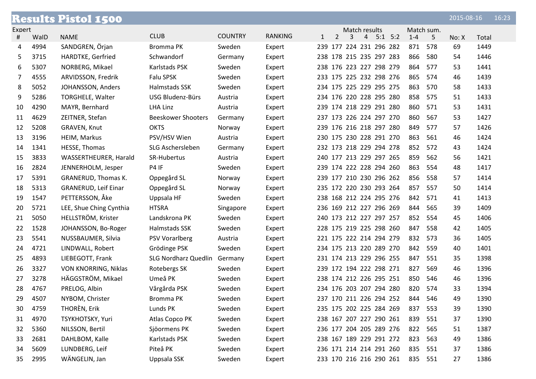|        |      | <b>Results Pistol 1500</b>  |                             |                |                |              |                |   |                |                         |         |            | 2015-08-16 |       | 16:23 |
|--------|------|-----------------------------|-----------------------------|----------------|----------------|--------------|----------------|---|----------------|-------------------------|---------|------------|------------|-------|-------|
| Expert |      |                             |                             |                |                |              |                |   | Match results  |                         |         | Match sum. |            |       |       |
| #      | WalD | <b>NAME</b>                 | <b>CLUB</b>                 | <b>COUNTRY</b> | <b>RANKING</b> | $\mathbf{1}$ | $\overline{2}$ | 3 | $\overline{4}$ | $5:1$ $5:2$             | $1 - 4$ | 5          | No: X      | Total |       |
| 4      | 4994 | SANDGREN, Örjan             | Bromma PK                   | Sweden         | Expert         |              |                |   |                | 239 177 224 231 296 282 | 871     | 578        | 69         | 1449  |       |
| 5      | 3715 | HARDTKE, Gerfried           | Schwandorf                  | Germany        | Expert         |              |                |   |                | 238 178 215 235 297 283 | 866     | 580        | 54         | 1446  |       |
| 6      | 5307 | NORBERG, Mikael             | Karlstads PSK               | Sweden         | Expert         |              |                |   |                | 238 176 223 227 298 279 | 864     | 577        | 53         | 1441  |       |
| 7      | 4555 | ARVIDSSON, Fredrik          | Falu SPSK                   | Sweden         | Expert         |              |                |   |                | 233 175 225 232 298 276 | 865     | 574        | 46         | 1439  |       |
| 8      | 5052 | JOHANSSON, Anders           | Halmstads SSK               | Sweden         | Expert         |              |                |   |                | 234 175 225 229 295 275 | 863     | 570        | 58         | 1433  |       |
| 9      | 5286 | <b>TORGHELE, Walter</b>     | <b>USG Bludenz-Bürs</b>     | Austria        | Expert         |              |                |   |                | 234 176 220 228 295 280 | 858     | 575        | 51         | 1433  |       |
| 10     | 4290 | MAYR, Bernhard              | <b>LHA Linz</b>             | Austria        | Expert         |              |                |   |                | 239 174 218 229 291 280 | 860     | 571        | 53         | 1431  |       |
| 11     | 4629 | ZEITNER, Stefan             | <b>Beeskower Shooters</b>   | Germany        | Expert         |              |                |   |                | 237 173 226 224 297 270 | 860     | 567        | 53         | 1427  |       |
| 12     | 5208 | GRAVEN, Knut                | <b>OKTS</b>                 | Norway         | Expert         |              |                |   |                | 239 176 216 218 297 280 | 849     | 577        | 57         | 1426  |       |
| 13     | 3196 | HEIM, Markus                | PSV/HSV Wien                | Austria        | Expert         |              |                |   |                | 230 175 230 228 291 270 | 863     | 561        | 46         | 1424  |       |
| 14     | 1341 | HESSE, Thomas               | SLG Aschersleben            | Germany        | Expert         |              |                |   |                | 232 173 218 229 294 278 | 852     | 572        | 43         | 1424  |       |
| 15     | 3833 | WASSERTHEURER, Harald       | SR-Hubertus                 | Austria        | Expert         |              |                |   |                | 240 177 213 229 297 265 | 859     | 562        | 56         | 1421  |       |
| 16     | 2824 | JENNERHOLM, Jesper          | P4 IF                       | Sweden         | Expert         |              |                |   |                | 239 174 222 228 294 260 | 863     | 554        | 48         | 1417  |       |
| 17     | 5391 | GRANERUD, Thomas K.         | Oppegård SL                 | Norway         | Expert         |              |                |   |                | 239 177 210 230 296 262 | 856     | 558        | 57         | 1414  |       |
| 18     | 5313 | <b>GRANERUD, Leif Einar</b> | Oppegård SL                 | Norway         | Expert         |              |                |   |                | 235 172 220 230 293 264 | 857     | 557        | 50         | 1414  |       |
| 19     | 1547 | PETTERSSON, Åke             | Uppsala HF                  | Sweden         | Expert         |              |                |   |                | 238 168 212 224 295 276 | 842     | 571        | 41         | 1413  |       |
| 20     | 5721 | LEE, Shue Ching Cynthia     | <b>HTSRA</b>                | Singapore      | Expert         |              |                |   |                | 236 169 212 227 296 269 | 844     | 565        | 39         | 1409  |       |
| 21     | 5050 | HELLSTRÖM, Krister          | Landskrona PK               | Sweden         | Expert         |              |                |   |                | 240 173 212 227 297 257 | 852     | 554        | 45         | 1406  |       |
| 22     | 1528 | JOHANSSON, Bo-Roger         | Halmstads SSK               | Sweden         | Expert         |              |                |   |                | 228 175 219 225 298 260 | 847     | 558        | 42         | 1405  |       |
| 23     | 5541 | NUSSBAUMER, Silvia          | <b>PSV Vorarlberg</b>       | Austria        | Expert         |              |                |   |                | 221 175 222 214 294 279 | 832     | 573        | 36         | 1405  |       |
| 24     | 4721 | LINDWALL, Robert            | Grödinge PSK                | Sweden         | Expert         |              |                |   |                | 234 175 213 220 289 270 | 842     | 559        | 40         | 1401  |       |
| 25     | 4893 | LIEBEGOTT, Frank            | <b>SLG Nordharz Quedlin</b> | Germany        | Expert         |              |                |   |                | 231 174 213 229 296 255 | 847     | 551        | 35         | 1398  |       |
| 26     | 3327 | VON KNORRING, Niklas        | Rotebergs SK                | Sweden         | Expert         |              |                |   |                | 239 172 194 222 298 271 | 827     | 569        | 46         | 1396  |       |
| 27     | 3278 | HÄGGSTRÖM, Mikael           | Umeå PK                     | Sweden         | Expert         |              |                |   |                | 238 174 212 226 295 251 | 850     | 546        | 46         | 1396  |       |
| 28     | 4767 | PRELOG, Albin               | Vårgårda PSK                | Sweden         | Expert         |              |                |   |                | 234 176 203 207 294 280 | 820     | 574        | 33         | 1394  |       |
| 29     | 4507 | NYBOM, Christer             | Bromma PK                   | Sweden         | Expert         |              |                |   |                | 237 170 211 226 294 252 | 844     | 546        | 49         | 1390  |       |
| 30     | 4759 | THORÈN, Erik                | Lunds PK                    | Sweden         | Expert         |              |                |   |                | 235 175 202 225 284 269 | 837     | 553        | 39         | 1390  |       |
| 31     | 4970 | TSYKHOTSKY, Yuri            | Atlas Copco PK              | Sweden         | Expert         |              |                |   |                | 238 167 207 227 290 261 | 839     | 551        | 37         | 1390  |       |
| 32     | 5360 | NILSSON, Bertil             | Sjöormens PK                | Sweden         | Expert         |              |                |   |                | 236 177 204 205 289 276 | 822 565 |            | 51         | 1387  |       |
| 33     | 2681 | DAHLBOM, Kalle              | Karlstads PSK               | Sweden         | Expert         |              |                |   |                | 238 167 189 229 291 272 | 823     | 563        | 49         | 1386  |       |
| 34     | 5609 | LUNDBERG, Leif              | Piteå PK                    | Sweden         | Expert         |              |                |   |                | 236 171 214 214 291 260 | 835     | 551        | 37         | 1386  |       |
| 35     | 2995 | WÄNGELIN, Jan               | Uppsala SSK                 | Sweden         | Expert         |              |                |   |                | 233 170 216 216 290 261 | 835 551 |            | 27         | 1386  |       |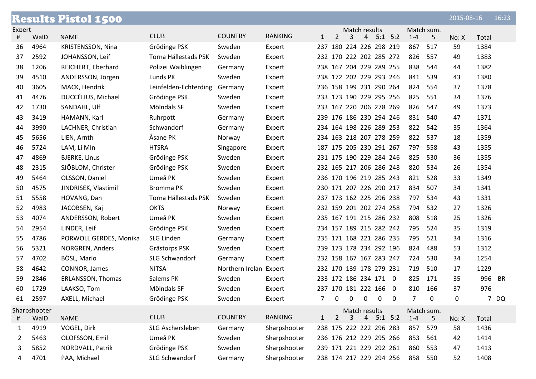|        |              | <b>Results Pistol 1500</b> |                       |                        |                |                |                     |                |                |                            |                |            | 2015-08-16 |       | 16:23     |
|--------|--------------|----------------------------|-----------------------|------------------------|----------------|----------------|---------------------|----------------|----------------|----------------------------|----------------|------------|------------|-------|-----------|
| Expert |              |                            |                       |                        |                |                |                     | Match results  |                |                            |                | Match sum. |            |       |           |
| #      | WalD         | <b>NAME</b>                | <b>CLUB</b>           | <b>COUNTRY</b>         | <b>RANKING</b> | $\mathbf{1}$   | $\overline{2}$      | 3              | $\overline{4}$ | $5:1$ $5:2$                | $1 - 4$        | 5.         | No: X      | Total |           |
| 36     | 4964         | KRISTENSSON, Nina          | Grödinge PSK          | Sweden                 | Expert         | 237            |                     |                |                | 180 224 226 298 219        | 867            | 517        | 59         | 1384  |           |
| 37     | 2592         | JOHANSSON, Leif            | Torna Hällestads PSK  | Sweden                 | Expert         |                |                     |                |                | 232 170 222 202 285 272    | 826            | 557        | 49         | 1383  |           |
| 38     | 1206         | REICHERT, Eberhard         | Polizei Waiblingen    | Germany                | Expert         |                |                     |                |                | 238 167 204 229 289 255    | 838            | 544        | 44         | 1382  |           |
| 39     | 4510         | ANDERSSON, Jörgen          | Lunds PK              | Sweden                 | Expert         |                |                     |                |                | 238 172 202 229 293 246    | 841            | 539        | 43         | 1380  |           |
| 40     | 3605         | MACK, Hendrik              | Leinfelden-Echterding | Germany                | Expert         |                |                     |                |                | 236 158 199 231 290 264    | 824            | 554        | 37         | 1378  |           |
| 41     | 4476         | DUCCÉLIUS, Michael         | Grödinge PSK          | Sweden                 | Expert         |                |                     |                |                | 233 173 190 229 295 256    | 825            | 551        | 34         | 1376  |           |
| 42     | 1730         | SANDAHL, Ulf               | Mölndals SF           | Sweden                 | Expert         |                |                     |                |                | 233 167 220 206 278 269    | 826            | 547        | 49         | 1373  |           |
| 43     | 3419         | HAMANN, Karl               | Ruhrpott              | Germany                | Expert         |                |                     |                |                | 239 176 186 230 294 246    | 831            | 540        | 47         | 1371  |           |
| 44     | 3990         | LACHNER, Christian         | Schwandorf            | Germany                | Expert         |                |                     |                |                | 234 164 198 226 289 253    | 822            | 542        | 35         | 1364  |           |
| 45     | 5656         | LIEN, Arnth                | Åsane PK              | Norway                 | Expert         |                |                     |                |                | 234 163 218 207 278 259    | 822            | 537        | 18         | 1359  |           |
| 46     | 5724         | LAM, Li MIn                | <b>HTSRA</b>          | Singapore              | Expert         |                |                     |                |                | 187 175 205 230 291 267    | 797            | 558        | 43         | 1355  |           |
| 47     | 4869         | <b>BJERKE, Linus</b>       | Grödinge PSK          | Sweden                 | Expert         |                |                     |                |                | 231 175 190 229 284 246    | 825            | 530        | 36         | 1355  |           |
| 48     | 2315         | SJÖBLOM, Christer          | Grödinge PSK          | Sweden                 | Expert         |                |                     |                |                | 232 165 217 206 286 248    | 820            | 534        | 26         | 1354  |           |
| 49     | 5464         | OLSSON, Daniel             | Umeå PK               | Sweden                 | Expert         |                |                     |                |                | 236 170 196 219 285 243    | 821            | 528        | 33         | 1349  |           |
| 50     | 4575         | JINDRISEK, Vlastimil       | Bromma PK             | Sweden                 | Expert         |                |                     |                |                | 230 171 207 226 290 217    | 834            | 507        | 34         | 1341  |           |
| 51     | 5558         | HOVANG, Dan                | Torna Hällestads PSK  | Sweden                 | Expert         |                |                     |                |                | 237 173 162 225 296 238    | 797            | 534        | 43         | 1331  |           |
| 52     | 4983         | JACOBSEN, Kaj              | <b>OKTS</b>           | Norway                 | Expert         |                |                     |                |                | 232 159 201 202 274 258    | 794            | 532        | 27         | 1326  |           |
| 53     | 4074         | ANDERSSON, Robert          | Umeå PK               | Sweden                 | Expert         |                |                     |                |                | 235 167 191 215 286 232    | 808            | 518        | 25         | 1326  |           |
| 54     | 2954         | LINDER, Leif               | Grödinge PSK          | Sweden                 | Expert         |                |                     |                |                | 234 157 189 215 282 242    | 795            | 524        | 35         | 1319  |           |
| 55     | 4786         | PORWOLL GERDES, Monika     | <b>SLG Linden</b>     | Germany                | Expert         |                |                     |                |                | 235 171 168 221 286 235    | 795            | 521        | 34         | 1316  |           |
| 56     | 5321         | NORGREN, Anders            | Grästorps PSK         | Sweden                 | Expert         |                |                     |                |                | 239 173 178 234 292 196    | 824            | 488        | 53         | 1312  |           |
| 57     | 4702         | BÖSL, Mario                | <b>SLG Schwandorf</b> | Germany                | Expert         |                |                     |                |                | 232 158 167 167 283 247    | 724            | 530        | 34         | 1254  |           |
| 58     | 4642         | CONNOR, James              | <b>NITSA</b>          | Northern Irelan Expert |                |                |                     |                |                | 232 170 139 178 279 231    | 719            | 510        | 17         | 1229  |           |
| 59     | 2846         | ERLANSSON, Thomas          | Salems PK             | Sweden                 | Expert         |                |                     |                |                | 233 172 186 234 171 0      | 825            | 171        | 35         | 996   | <b>BR</b> |
| 60     | 1729         | LAAKSO, Tom                | Mölndals SF           | Sweden                 | Expert         |                | 237 170 181 222 166 |                |                | 0                          | 810            | 166        | 37         | 976   |           |
| 61     | 2597         | AXELL, Michael             | Grödinge PSK          | Sweden                 | Expert         | $\overline{7}$ | $\mathbf 0$         | $\mathbf 0$    | $\mathbf 0$    | $\mathbf 0$<br>$\mathbf 0$ | $\overline{7}$ | 0          | 0          | 7     | DQ        |
|        | Sharpshooter |                            |                       |                        |                |                |                     | Match results  |                |                            |                | Match sum. |            |       |           |
| #      | WalD         | <b>NAME</b>                | <b>CLUB</b>           | <b>COUNTRY</b>         | RANKING        | $\mathbf{1}$   | $\overline{2}$      | $\overline{3}$ | $\overline{4}$ | $5:1$ $5:2$                | $1 - 4$        | 5          | No: X      | Total |           |
| 1      | 4919         | VOGEL, Dirk                | SLG Aschersleben      | Germany                | Sharpshooter   |                |                     |                |                | 238 175 222 222 296 283    | 857            | 579        | 58         | 1436  |           |
| 2      | 5463         | OLOFSSON, Emil             | Umeå PK               | Sweden                 | Sharpshooter   |                |                     |                |                | 236 176 212 229 295 266    | 853            | 561        | 42         | 1414  |           |
| 3      | 5852         | NORDVALL, Patrik           | Grödinge PSK          | Sweden                 | Sharpshooter   |                |                     |                |                | 239 171 221 229 292 261    | 860            | 553        | 47         | 1413  |           |
| 4      | 4701         | PAA, Michael               | SLG Schwandorf        | Germany                | Sharpshooter   |                |                     |                |                | 238 174 217 229 294 256    |                | 858 550    | 52         | 1408  |           |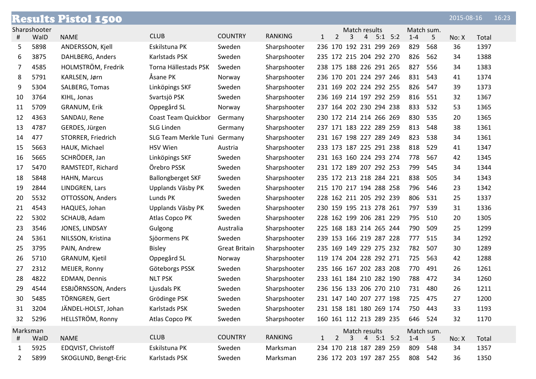|          |              | <b>Results Pistol 1500</b> |                              |                      |                |              |                                           |               |             |         |            | 2015-08-16 | 16:23 |  |
|----------|--------------|----------------------------|------------------------------|----------------------|----------------|--------------|-------------------------------------------|---------------|-------------|---------|------------|------------|-------|--|
|          | Sharpshooter |                            |                              |                      |                |              |                                           | Match results |             |         | Match sum. |            |       |  |
| #        | WalD         | <b>NAME</b>                | <b>CLUB</b>                  | <b>COUNTRY</b>       | <b>RANKING</b> | $\mathbf{1}$ | $\overline{2}$<br>3                       | 4             | $5:1$ $5:2$ | $1 - 4$ | 5          | No: X      | Total |  |
| 5        | 5898         | ANDERSSON, Kjell           | Eskilstuna PK                | Sweden               | Sharpshooter   |              | 236 170 192 231 299 269                   |               |             | 829     | 568        | 36         | 1397  |  |
| 6        | 3875         | DAHLBERG, Anders           | Karlstads PSK                | Sweden               | Sharpshooter   |              | 235 172 215 204 292 270                   |               |             | 826     | 562        | 34         | 1388  |  |
| 7        | 4585         | HOLMSTRÖM, Fredrik         | Torna Hällestads PSK         | Sweden               | Sharpshooter   |              | 238 175 188 226 291 265                   |               |             | 827     | 556        | 34         | 1383  |  |
| 8        | 5791         | KARLSEN, Jørn              | Åsane PK                     | Norway               | Sharpshooter   |              | 236 170 201 224 297 246                   |               |             | 831     | 543        | 41         | 1374  |  |
| 9        | 5304         | SALBERG, Tomas             | Linköpings SKF               | Sweden               | Sharpshooter   |              | 231 169 202 224 292 255                   |               |             | 826     | 547        | 39         | 1373  |  |
| 10       | 3764         | KIHL, Jonas                | Svartsjö PSK                 | Sweden               | Sharpshooter   |              | 236 169 214 197 292 259                   |               |             | 816     | 551        | 32         | 1367  |  |
| 11       | 5709         | <b>GRANUM, Erik</b>        | Oppegård SL                  | Norway               | Sharpshooter   |              | 237 164 202 230 294 238                   |               |             | 833     | 532        | 53         | 1365  |  |
| 12       | 4363         | SANDAU, Rene               | Coast Team Quickbor          | Germany              | Sharpshooter   |              | 230 172 214 214 266 269                   |               |             | 830     | 535        | 20         | 1365  |  |
| 13       | 4787         | GERDES, Jürgen             | <b>SLG Linden</b>            | Germany              | Sharpshooter   |              | 237 171 183 222 289 259                   |               |             | 813     | 548        | 38         | 1361  |  |
| 14       | 477          | STORRER, Friedrich         | SLG Team Merkle Tuni Germany |                      | Sharpshooter   |              | 231 167 198 227 289 249                   |               |             | 823     | 538        | 34         | 1361  |  |
| 15       | 5663         | HAUK, Michael              | <b>HSV Wien</b>              | Austria              | Sharpshooter   |              | 233 173 187 225 291 238                   |               |             | 818     | 529        | 41         | 1347  |  |
| 16       | 5665         | SCHRÖDER, Jan              | Linköpings SKF               | Sweden               | Sharpshooter   |              | 231 163 160 224 293 274                   |               |             | 778     | 567        | 42         | 1345  |  |
| 17       | 5470         | RAMSTEDT, Richard          | Örebro PSSK                  | Sweden               | Sharpshooter   |              | 231 172 189 207 292 253                   |               |             | 799     | 545        | 34         | 1344  |  |
| 18       | 5848         | HAHN, Marcus               | <b>Ballongberget SKF</b>     | Sweden               | Sharpshooter   |              | 235 172 213 218 284 221                   |               |             | 838     | 505        | 34         | 1343  |  |
| 19       | 2844         | LINDGREN, Lars             | Upplands Väsby PK            | Sweden               | Sharpshooter   |              | 215 170 217 194 288 258                   |               |             | 796     | 546        | 23         | 1342  |  |
| 20       | 5532         | OTTOSSON, Anders           | Lunds PK                     | Sweden               | Sharpshooter   |              | 228 162 211 205 292 239                   |               |             | 806     | 531        | 25         | 1337  |  |
| 21       | 4543         | HAQUES, Johan              | Upplands Väsby PK            | Sweden               | Sharpshooter   |              | 230 159 195 213 278 261                   |               |             | 797     | 539        | 31         | 1336  |  |
| 22       | 5302         | SCHAUB, Adam               | Atlas Copco PK               | Sweden               | Sharpshooter   |              | 228 162 199 206 281 229                   |               |             | 795     | 510        | 20         | 1305  |  |
| 23       | 3546         | JONES, LINDSAY             | Gulgong                      | Australia            | Sharpshooter   |              | 225 168 183 214 265 244                   |               |             | 790     | 509        | 25         | 1299  |  |
| 24       | 5361         | NILSSON, Kristina          | Sjöormens PK                 | Sweden               | Sharpshooter   |              | 239 153 166 219 287 228                   |               |             | 777     | 515        | 34         | 1292  |  |
| 25       | 3795         | PAIN, Andrew               | <b>Bisley</b>                | <b>Great Britain</b> | Sharpshooter   |              | 235 169 149 229 275 232                   |               |             | 782     | 507        | 30         | 1289  |  |
| 26       | 5710         | GRANUM, Kjetil             | Oppegård SL                  | Norway               | Sharpshooter   |              | 119 174 204 228 292 271                   |               |             | 725     | 563        | 42         | 1288  |  |
| 27       | 2312         | MEIJER, Ronny              | Göteborgs PSSK               | Sweden               | Sharpshooter   |              | 235 166 167 202 283 208                   |               |             | 770     | 491        | 26         | 1261  |  |
| 28       | 4822         | EDMAN, Dennis              | <b>NLT PSK</b>               | Sweden               | Sharpshooter   |              | 233 161 184 210 282 190                   |               |             | 788     | 472        | 34         | 1260  |  |
| 29       | 4544         | ESBJÖRNSSON, Anders        | Ljusdals PK                  | Sweden               | Sharpshooter   |              | 236 156 133 206 270 210                   |               |             | 731     | 480        | 26         | 1211  |  |
| 30       | 5485         | TÖRNGREN, Gert             | Grödinge PSK                 | Sweden               | Sharpshooter   |              | 231 147 140 207 277 198                   |               |             | 725 475 |            | 27         | 1200  |  |
| 31       | 3204         | JÄNDEL-HOLST, Johan        | Karlstads PSK                | Sweden               | Sharpshooter   |              | 231 158 181 180 269 174                   |               |             | 750 443 |            | 33         | 1193  |  |
| 32       | 5296         | HELLSTRÖM, Ronny           | Atlas Copco PK               | Sweden               | Sharpshooter   |              | 160 161 112 213 289 235                   |               |             | 646 524 |            | 32         | 1170  |  |
| Marksman |              |                            |                              |                      |                |              |                                           | Match results |             |         | Match sum. |            |       |  |
| #        | WalD         | <b>NAME</b>                | <b>CLUB</b>                  | <b>COUNTRY</b>       | <b>RANKING</b> | $\mathbf{1}$ | $\overline{2}$<br>$\overline{\mathbf{3}}$ | 4             | $5:1$ $5:2$ | $1 - 4$ | 5          | No: X      | Total |  |
| 1        | 5925         | EDQVIST, Christoff         | Eskilstuna PK                | Sweden               | Marksman       |              | 234 170 218 187 289 259                   |               |             | 809     | 548        | 34         | 1357  |  |
| 2        | 5899         | SKOGLUND, Bengt-Eric       | Karlstads PSK                | Sweden               | Marksman       |              | 236 172 203 197 287 255                   |               |             | 808 542 |            | 36         | 1350  |  |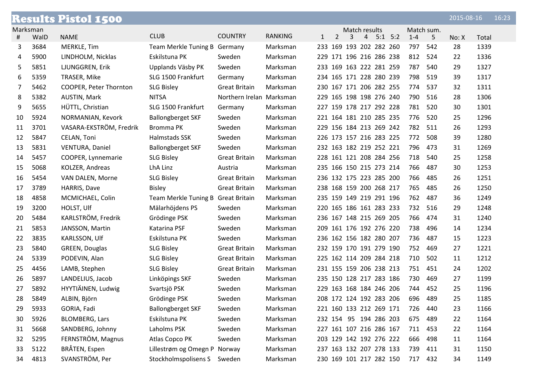|          |      | <b>Results Pistol 1500</b> |                                    |                          |                |              |                |   |                |                         |         |            | 2015-08-16 |       | 16:23 |
|----------|------|----------------------------|------------------------------------|--------------------------|----------------|--------------|----------------|---|----------------|-------------------------|---------|------------|------------|-------|-------|
| Marksman |      |                            |                                    |                          |                |              |                |   | Match results  |                         |         | Match sum. |            |       |       |
| #        | WalD | <b>NAME</b>                | <b>CLUB</b>                        | <b>COUNTRY</b>           | <b>RANKING</b> | $\mathbf{1}$ | $\overline{2}$ | 3 | $\overline{4}$ | $5:1$ $5:2$             | $1 - 4$ | 5          | No: X      | Total |       |
| 3        | 3684 | MERKLE, Tim                | Team Merkle Tuning B Germany       |                          | Marksman       |              |                |   |                | 233 169 193 202 282 260 | 797     | 542        | 28         | 1339  |       |
| 4        | 5900 | LINDHOLM, Nicklas          | Eskilstuna PK                      | Sweden                   | Marksman       |              |                |   |                | 229 171 196 216 286 238 | 812     | 524        | 22         | 1336  |       |
| 5        | 5851 | LJUNGGREN, Erik            | Upplands Väsby PK                  | Sweden                   | Marksman       |              |                |   |                | 233 169 163 222 281 259 | 787     | 540        | 29         | 1327  |       |
| 6        | 5359 | TRASER, Mike               | SLG 1500 Frankfurt                 | Germany                  | Marksman       |              |                |   |                | 234 165 171 228 280 239 | 798     | 519        | 39         | 1317  |       |
| 7        | 5462 | COOPER, Peter Thornton     | <b>SLG Bisley</b>                  | <b>Great Britain</b>     | Marksman       |              |                |   |                | 230 167 171 206 282 255 | 774     | 537        | 32         | 1311  |       |
| 8        | 5382 | AUSTIN, Mark               | <b>NITSA</b>                       | Northern Irelan Marksman |                |              |                |   |                | 229 165 198 198 276 240 | 790     | 516        | 28         | 1306  |       |
| 9        | 5655 | HÜTTL, Christian           | SLG 1500 Frankfurt                 | Germany                  | Marksman       |              |                |   |                | 227 159 178 217 292 228 | 781     | 520        | 30         | 1301  |       |
| 10       | 5924 | NORMANIAN, Kevork          | <b>Ballongberget SKF</b>           | Sweden                   | Marksman       |              |                |   |                | 221 164 181 210 285 235 | 776     | 520        | 25         | 1296  |       |
| 11       | 3701 | VASARA-EKSTRÖM, Fredrik    | Bromma PK                          | Sweden                   | Marksman       |              |                |   |                | 229 156 184 213 269 242 | 782     | 511        | 26         | 1293  |       |
| 12       | 5847 | CELAN, Toni                | Halmstads SSK                      | Sweden                   | Marksman       |              |                |   |                | 226 173 157 216 283 225 | 772     | 508        | 39         | 1280  |       |
| 13       | 5831 | VENTURA, Daniel            | <b>Ballongberget SKF</b>           | Sweden                   | Marksman       |              |                |   |                | 232 163 182 219 252 221 | 796     | 473        | 31         | 1269  |       |
| 14       | 5457 | COOPER, Lynnemarie         | <b>SLG Bisley</b>                  | <b>Great Britain</b>     | Marksman       |              |                |   |                | 228 161 121 208 284 256 | 718     | 540        | 25         | 1258  |       |
| 15       | 5068 | KOLZER, Andreas            | LhA Linz                           | Austria                  | Marksman       |              |                |   |                | 235 166 150 215 273 214 | 766     | 487        | 30         | 1253  |       |
| 16       | 5454 | VAN DALEN, Morne           | <b>SLG Bisley</b>                  | <b>Great Britain</b>     | Marksman       |              |                |   |                | 236 132 175 223 285 200 | 766     | 485        | 26         | 1251  |       |
| 17       | 3789 | HARRIS, Dave               | <b>Bisley</b>                      | <b>Great Britain</b>     | Marksman       |              |                |   |                | 238 168 159 200 268 217 | 765     | 485        | 26         | 1250  |       |
| 18       | 4858 | MCMICHAEL, Colin           | Team Merkle Tuning B Great Britain |                          | Marksman       |              |                |   |                | 235 159 149 219 291 196 | 762     | 487        | 36         | 1249  |       |
| 19       | 3200 | HOLST, Ulf                 | Mälarhöjdens PS                    | Sweden                   | Marksman       |              |                |   |                | 220 165 186 161 283 233 | 732     | 516        | 29         | 1248  |       |
| 20       | 5484 | KARLSTRÖM, Fredrik         | Grödinge PSK                       | Sweden                   | Marksman       |              |                |   |                | 236 167 148 215 269 205 | 766     | 474        | 31         | 1240  |       |
| 21       | 5853 | JANSSON, Martin            | Katarina PSF                       | Sweden                   | Marksman       |              |                |   |                | 209 161 176 192 276 220 | 738     | 496        | 14         | 1234  |       |
| 22       | 3835 | KARLSSON, Ulf              | Eskilstuna PK                      | Sweden                   | Marksman       |              |                |   |                | 236 162 156 182 280 207 | 736     | 487        | 15         | 1223  |       |
| 23       | 5840 | GREEN, Douglas             | <b>SLG Bisley</b>                  | <b>Great Britain</b>     | Marksman       |              |                |   |                | 232 159 170 191 279 190 | 752     | 469        | 27         | 1221  |       |
| 24       | 5339 | PODEVIN, Alan              | <b>SLG Bisley</b>                  | <b>Great Britain</b>     | Marksman       |              |                |   |                | 225 162 114 209 284 218 | 710     | 502        | 11         | 1212  |       |
| 25       | 4456 | LAMB, Stephen              | <b>SLG Bisley</b>                  | <b>Great Britain</b>     | Marksman       |              |                |   |                | 231 155 159 206 238 213 | 751     | 451        | 24         | 1202  |       |
| 26       | 5897 | LANDELIUS, Jacob           | Linköpings SKF                     | Sweden                   | Marksman       |              |                |   |                | 235 150 128 217 283 186 | 730     | 469        | 27         | 1199  |       |
| 27       | 5892 | HYYTIÄINEN, Ludwig         | Svartsjö PSK                       | Sweden                   | Marksman       |              |                |   |                | 229 163 168 184 246 206 | 744     | 452        | 25         | 1196  |       |
| 28       | 5849 | ALBIN, Björn               | Grödinge PSK                       | Sweden                   | Marksman       |              |                |   |                | 208 172 124 192 283 206 | 696     | 489        | 25         | 1185  |       |
| 29       | 5933 | GORIA, Fadi                | <b>Ballongberget SKF</b>           | Sweden                   | Marksman       |              |                |   |                | 221 160 133 212 269 171 | 726     | 440        | 23         | 1166  |       |
| 30       | 5926 | <b>BLOMBERG, Lars</b>      | Eskilstuna PK                      | Sweden                   | Marksman       |              |                |   |                | 232 154 95 194 286 203  | 675     | 489        | 22         | 1164  |       |
| 31       | 5668 | SANDBERG, Johnny           | Laholms PSK                        | Sweden                   | Marksman       |              |                |   |                | 227 161 107 216 286 167 | 711     | 453        | 22         | 1164  |       |
| 32       | 5295 | FERNSTRÖM, Magnus          | Atlas Copco PK                     | Sweden                   | Marksman       |              |                |   |                | 203 129 142 192 276 222 | 666     | 498        | 11         | 1164  |       |
| 33       | 5122 | BRÅTEN, Espen              | Lillestrøm og Omegn P Norway       |                          | Marksman       |              |                |   |                | 237 163 132 207 278 133 | 739     | 411        | 31         | 1150  |       |
| 34       | 4813 | SVANSTRÖM, Per             | Stockholmspolisens S               | Sweden                   | Marksman       |              |                |   |                | 230 169 101 217 282 150 |         | 717 432    | 34         | 1149  |       |